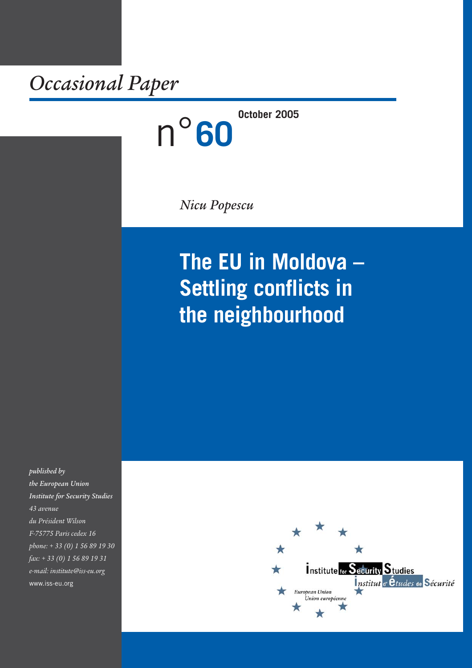*Occasional Paper*

**October 2005**

*Nicu Popescu*

n°**60**

# **The EU in Moldova – Settling conflicts in the neighbourhood**

*published by the European Union Institute for Security Studies 43 avenue du Président Wilson F-75775 Paris cedex 16 phone: + 33 (0) 1 56 89 19 30 fax: + 33 (0) 1 56 89 19 31 e-mail: institute@iss-eu.org* www.iss-eu.org

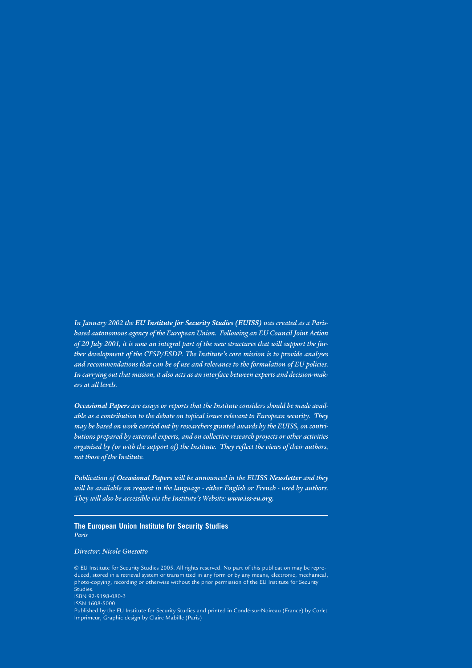*In January 2002 the EU Institute for Security Studies (EUISS) was created as a Parisbased autonomous agency of the European Union. Following an EU Council Joint Action of 20 July 2001, it is now an integral part of the new structures that will support the further development of the CFSP/ESDP. The Institute's core mission is to provide analyses and recommendations that can be of use and relevance to the formulation of EU policies. In carrying out that mission, it also acts as an interface between experts and decision-makers at all levels.* 

*Occasional Papers are essays or reports that the Institute considers should be made available as a contribution to the debate on topical issues relevant to European security. They may be based on work carried out by researchers granted awards by the EUISS, on contributions prepared by external experts, and on collective research projects or other activities organised by (or with the support of) the Institute. They reflect the views of their authors, not those of the Institute.*

*Publication of Occasional Papers will be announced in the EUISS Newsletter and they will be available on request in the language - either English or French - used by authors. They will also be accessible via the Institute's Website: www.iss-eu.org.*

#### **The European Union Institute for Security Studies** *Paris*

#### *Director: Nicole Gnesotto*

© EU Institute for Security Studies 2005. All rights reserved. No part of this publication may be reproduced, stored in a retrieval system or transmitted in any form or by any means, electronic, mechanical, photo-copying, recording or otherwise without the prior permission of the EU Institute for Security Studies. ISBN 92-9198-080-3 ISSN 1608-5000 Published by the EU Institute for Security Studies and printed in Condé-sur-Noireau (France) by Corlet Imprimeur, Graphic design by Claire Mabille (Paris)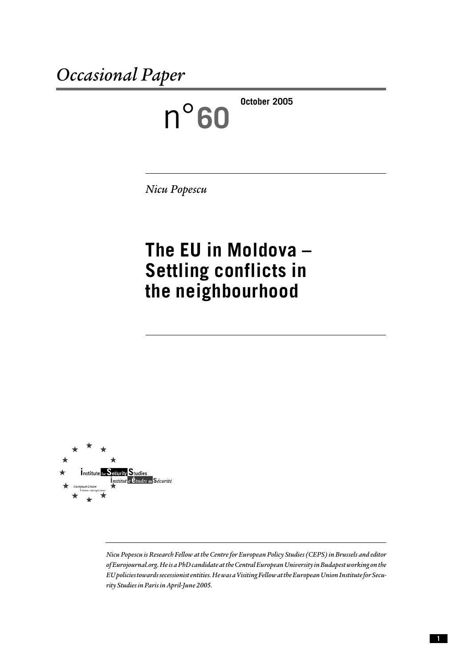*Occasional Paper*

n°**60 October 2005**

*Nicu Popescu*

## **The EU in Moldova – Settling conflicts in the neighbourhood**

Institute for Security Studies Institut <mark>o Études de</mark> Sécurité

*Nicu Popescu is Research Fellow at the Centre for European Policy Studies (CEPS) in Brussels and editor of Eurojournal.org. He is a PhD candidate at the Central European University in Budapest working on the EU policies towards secessionist entities. He was a Visiting Fellow at the European Union Institute for Security Studies in Paris in April-June 2005.*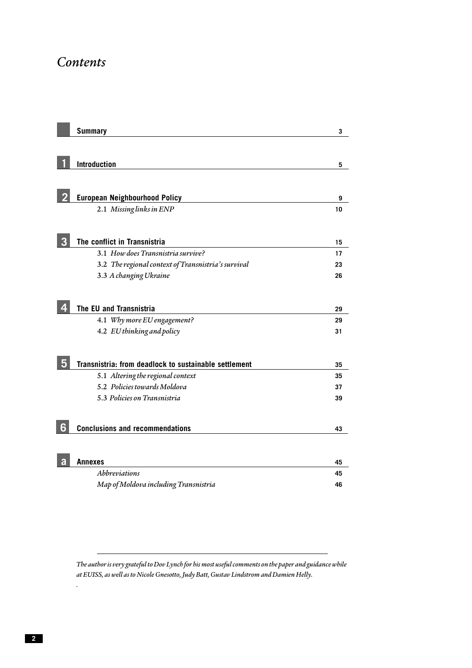### *Contents*

| <b>Summary</b>                                             | 3  |
|------------------------------------------------------------|----|
|                                                            |    |
| <b>Introduction</b>                                        | 5  |
|                                                            |    |
| <b>European Neighbourhood Policy</b>                       | 9  |
| 2.1 Missing links in ENP                                   | 10 |
| The conflict in Transnistria                               | 15 |
| 3.1 How does Transnistria survive?                         | 17 |
| 3.2 The regional context of Transnistria's survival        | 23 |
| 3.3 A changing Ukraine                                     | 26 |
| The EU and Transnistria                                    | 29 |
| 4.1 Why more EU engagement?                                | 29 |
| 4.2 EU thinking and policy                                 | 31 |
| 5<br>Transnistria: from deadlock to sustainable settlement | 35 |
| 5.1 Altering the regional context                          | 35 |
| 5.2 Policies towards Moldova                               | 37 |
| 5.3 Policies on Transnistria                               | 39 |
| 6<br><b>Conclusions and recommendations</b>                | 43 |
| <b>Annexes</b><br>а                                        | 45 |
| <b>Abbreviations</b>                                       | 45 |
| Map of Moldova including Transnistria                      | 46 |

*The author is very grateful to Dov Lynch for his most useful comments on the paper and guidance while at EUISS, as well as to Nicole Gnesotto, Judy Batt, Gustav Lindstrom and Damien Helly.*

*.*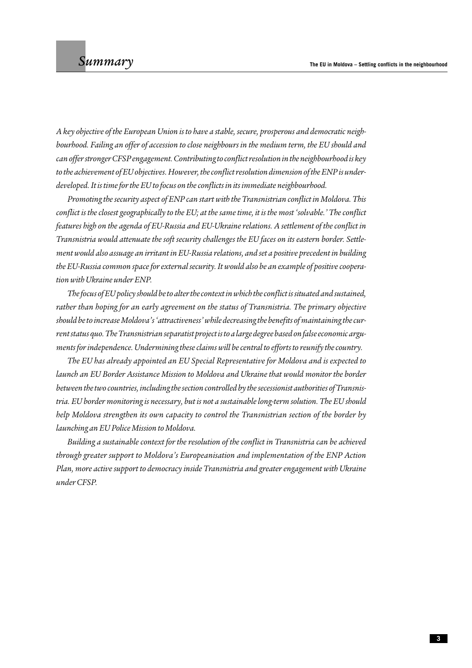<span id="page-4-0"></span>*A key objective of the European Union is to have a stable, secure, prosperous and democratic neighbourhood. Failing an offer of accession to close neighbours in the medium term, the EU should and can offer stronger CFSP engagement. Contributing to conflict resolution in the neighbourhood is key to the achievement of EU objectives. However, the conflict resolution dimension of the ENP is underdeveloped. It is time for the EU to focus on the conflicts in its immediate neighbourhood.* 

*Promoting the security aspect of ENP can start with the Transnistrian conflict in Moldova. This conflict is the closest geographically to the EU; at the same time, it is the most 'solvable.' The conflict features high on the agenda of EU-Russia and EU-Ukraine relations. A settlement of the conflict in Transnistria would attenuate the soft security challenges the EU faces on its eastern border. Settlement would also assuage an irritant in EU-Russia relations, and set a positive precedent in building the EU-Russia common space for external security. It would also be an example of positive cooperation with Ukraine under ENP.*

*The focus of EU policy should be to alter the context in which the conflict is situated and sustained, rather than hoping for an early agreement on the status of Transnistria. The primary objective should be to increase Moldova's 'attractiveness' while decreasing the benefits of maintaining the current status quo. The Transnistrian separatist project is to a large degree based on false economic arguments for independence. Undermining these claims will be central to efforts to reunify the country.* 

*The EU has already appointed an EU Special Representative for Moldova and is expected to launch an EU Border Assistance Mission to Moldova and Ukraine that would monitor the border between the two countries, including the section controlled by the secessionist authorities of Transnistria. EU border monitoring is necessary, but is not a sustainable long-term solution. The EU should help Moldova strengthen its own capacity to control the Transnistrian section of the border by launching an EU Police Mission to Moldova.* 

*Building a sustainable context for the resolution of the conflict in Transnistria can be achieved through greater support to Moldova's Europeanisation and implementation of the ENP Action Plan, more active support to democracy inside Transnistria and greater engagement with Ukraine under CFSP.*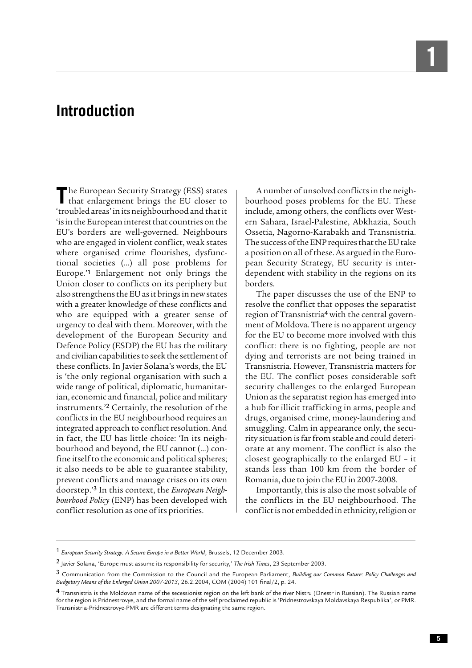### <span id="page-6-0"></span>**Introduction**

The European Security Strategy (ESS) states that enlargement brings the EU closer to 'troubled areas' in its neighbourhood and that it 'is in the European interest that countries on the EU's borders are well-governed. Neighbours who are engaged in violent conflict, weak states where organised crime flourishes, dysfunctional societies (…) all pose problems for Europe.'<sup>1</sup> Enlargement not only brings the Union closer to conflicts on its periphery but also strengthens the EU as it brings in new states with a greater knowledge of these conflicts and who are equipped with a greater sense of urgency to deal with them. Moreover, with the development of the European Security and Defence Policy (ESDP) the EU has the military and civilian capabilities to seek the settlement of these conflicts. In Javier Solana's words, the EU is 'the only regional organisation with such a wide range of political, diplomatic, humanitarian, economic and financial, police and military instruments.'<sup>2</sup> Certainly, the resolution of the conflicts in the EU neighbourhood requires an integrated approach to conflict resolution. And in fact, the EU has little choice: 'In its neighbourhood and beyond, the EU cannot (…) confine itself to the economic and political spheres; it also needs to be able to guarantee stability, prevent conflicts and manage crises on its own doorstep.'<sup>3</sup> In this context, the *European Neighbourhood Policy* (ENP) has been developed with conflict resolution as one of its priorities.

A number of unsolved conflicts in the neighbourhood poses problems for the EU. These include, among others, the conflicts over Western Sahara, Israel-Palestine, Abkhazia, South Ossetia, Nagorno-Karabakh and Transnistria. The success of the ENP requires that the EU take a position on all of these. As argued in the European Security Strategy, EU security is interdependent with stability in the regions on its borders.

The paper discusses the use of the ENP to resolve the conflict that opposes the separatist region of Transnistria4 with the central government of Moldova. There is no apparent urgency for the EU to become more involved with this conflict: there is no fighting, people are not dying and terrorists are not being trained in Transnistria. However, Transnistria matters for the EU. The conflict poses considerable soft security challenges to the enlarged European Union as the separatist region has emerged into a hub for illicit trafficking in arms, people and drugs, organised crime, money-laundering and smuggling. Calm in appearance only, the security situation is far from stable and could deteriorate at any moment. The conflict is also the closest geographically to the enlarged EU – it stands less than 100 km from the border of Romania, due to join the EU in 2007-2008.

Importantly, this is also the most solvable of the conflicts in the EU neighbourhood. The conflict is not embedded in ethnicity, religion or **1**

<sup>1</sup> *European Security Strategy: A Secure Europe in a Better World*, Brussels, 12 December 2003.

<sup>2</sup> Javier Solana, 'Europe must assume its responsibility for security,' *The Irish Times*, 23 September 2003.

<sup>3</sup> Communication from the Commission to the Council and the European Parliament, *Building our Common Future: Policy Challenges and Budgetary Means of the Enlarged Union 2007-2013*, 26.2.2004, COM (2004) 101 final/2, p. 24.

<sup>4</sup> Transnistria is the Moldovan name of the secessionist region on the left bank of the river Nistru (Dnestr in Russian). The Russian name for the region is Pridnestrovye, and the formal name of the self proclaimed republic is 'Pridnestrovskaya Moldavskaya Respublika', or PMR. Transnistria-Pridnestrovye-PMR are different terms designating the same region.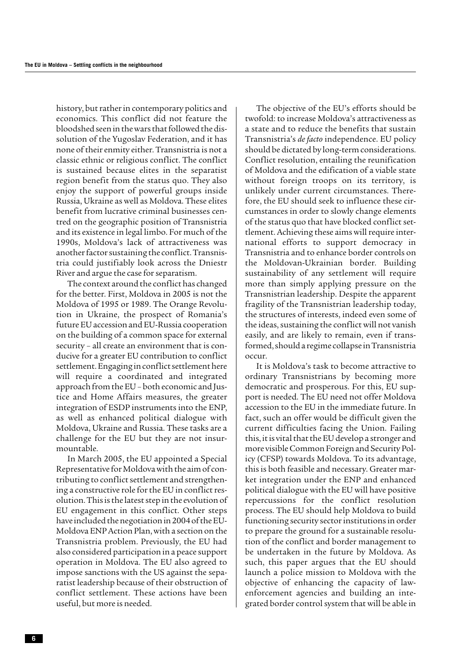history, but rather in contemporary politics and economics. This conflict did not feature the bloodshed seen in the wars that followed the dissolution of the Yugoslav Federation, and it has none of their enmity either. Transnistria is not a classic ethnic or religious conflict. The conflict is sustained because elites in the separatist region benefit from the status quo. They also enjoy the support of powerful groups inside Russia, Ukraine as well as Moldova. These elites benefit from lucrative criminal businesses centred on the geographic position of Transnistria and its existence in legal limbo. For much of the 1990s, Moldova's lack of attractiveness was another factor sustaining the conflict. Transnistria could justifiably look across the Dniestr River and argue the case for separatism.

The context around the conflict has changed for the better. First, Moldova in 2005 is not the Moldova of 1995 or 1989. The Orange Revolution in Ukraine, the prospect of Romania's future EU accession and EU-Russia cooperation on the building of a common space for external security – all create an environment that is conducive for a greater EU contribution to conflict settlement. Engaging in conflict settlement here will require a coordinated and integrated approach from the EU – both economic and Justice and Home Affairs measures, the greater integration of ESDP instruments into the ENP, as well as enhanced political dialogue with Moldova, Ukraine and Russia. These tasks are a challenge for the EU but they are not insurmountable.

In March 2005, the EU appointed a Special Representative for Moldova with the aim of contributing to conflict settlement and strengthening a constructive role for the EU in conflict resolution. This is the latest step in the evolution of EU engagement in this conflict. Other steps have included the negotiation in 2004 of the EU-Moldova ENP Action Plan, with a section on the Transnistria problem. Previously, the EU had also considered participation in a peace support operation in Moldova. The EU also agreed to impose sanctions with the US against the separatist leadership because of their obstruction of conflict settlement. These actions have been useful, but more is needed.

The objective of the EU's efforts should be twofold: to increase Moldova's attractiveness as a state and to reduce the benefits that sustain Transnistria's *de facto* independence. EU policy should be dictated by long-term considerations. Conflict resolution, entailing the reunification of Moldova and the edification of a viable state without foreign troops on its territory, is unlikely under current circumstances. Therefore, the EU should seek to influence these circumstances in order to slowly change elements of the status quo that have blocked conflict settlement. Achieving these aims will require international efforts to support democracy in Transnistria and to enhance border controls on the Moldovan-Ukrainian border. Building sustainability of any settlement will require more than simply applying pressure on the Transnistrian leadership. Despite the apparent fragility of the Transnistrian leadership today, the structures of interests, indeed even some of the ideas, sustaining the conflict will not vanish easily, and are likely to remain, even if transformed, should a regime collapse in Transnistria occur.

It is Moldova's task to become attractive to ordinary Transnistrians by becoming more democratic and prosperous. For this, EU support is needed. The EU need not offer Moldova accession to the EU in the immediate future. In fact, such an offer would be difficult given the current difficulties facing the Union. Failing this, it is vital that the EU develop a stronger and more visible Common Foreign and Security Policy (CFSP) towards Moldova. To its advantage, this is both feasible and necessary. Greater market integration under the ENP and enhanced political dialogue with the EU will have positive repercussions for the conflict resolution process. The EU should help Moldova to build functioning security sector institutions in order to prepare the ground for a sustainable resolution of the conflict and border management to be undertaken in the future by Moldova. As such, this paper argues that the EU should launch a police mission to Moldova with the objective of enhancing the capacity of lawenforcement agencies and building an integrated border control system that will be able in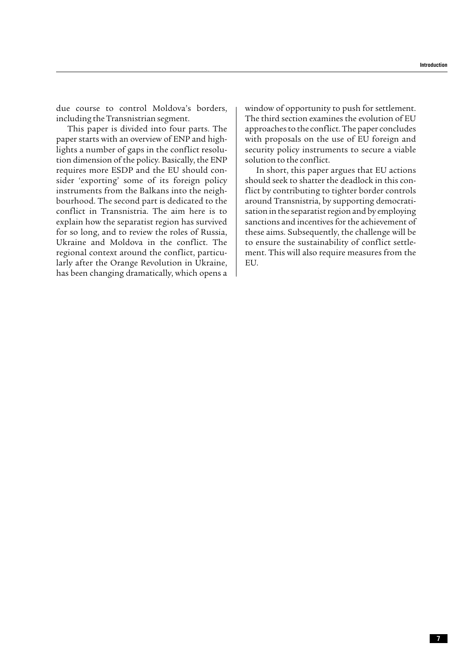due course to control Moldova's borders, including the Transnistrian segment.

This paper is divided into four parts. The paper starts with an overview of ENP and highlights a number of gaps in the conflict resolution dimension of the policy. Basically, the ENP requires more ESDP and the EU should consider 'exporting' some of its foreign policy instruments from the Balkans into the neighbourhood. The second part is dedicated to the conflict in Transnistria. The aim here is to explain how the separatist region has survived for so long, and to review the roles of Russia, Ukraine and Moldova in the conflict. The regional context around the conflict, particularly after the Orange Revolution in Ukraine, has been changing dramatically, which opens a window of opportunity to push for settlement. The third section examines the evolution of EU approaches to the conflict. The paper concludes with proposals on the use of EU foreign and security policy instruments to secure a viable solution to the conflict.

In short, this paper argues that EU actions should seek to shatter the deadlock in this conflict by contributing to tighter border controls around Transnistria, by supporting democratisation in the separatist region and by employing sanctions and incentives for the achievement of these aims. Subsequently, the challenge will be to ensure the sustainability of conflict settlement. This will also require measures from the EU.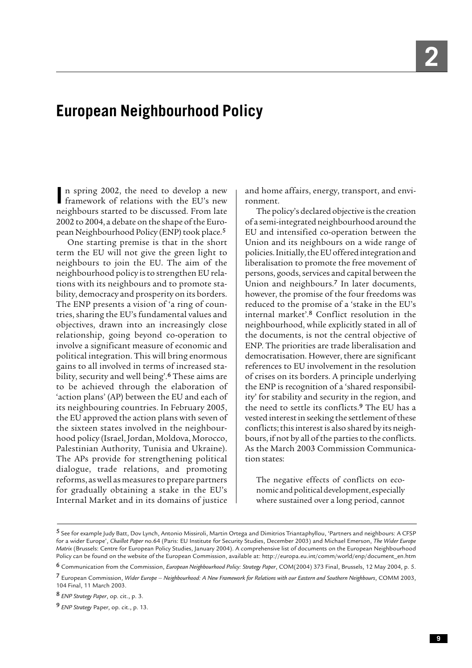### <span id="page-10-0"></span>**European Neighbourhood Policy**

**I** n spring 2002, the need to develop a new framework of relations with the EU's new neighbours started to be discussed. From late 2002 to 2004, a debate on the shape of the European Neighbourhood Policy (ENP) took place.<sup>5</sup>

One starting premise is that in the short term the EU will not give the green light to neighbours to join the EU. The aim of the neighbourhood policy is to strengthen EU relations with its neighbours and to promote stability, democracy and prosperity on its borders. The ENP presents a vision of 'a ring of countries, sharing the EU's fundamental values and objectives, drawn into an increasingly close relationship, going beyond co-operation to involve a significant measure of economic and political integration. This will bring enormous gains to all involved in terms of increased stability, security and well being'.<sup>6</sup> These aims are to be achieved through the elaboration of 'action plans' (AP) between the EU and each of its neighbouring countries. In February 2005, the EU approved the action plans with seven of the sixteen states involved in the neighbourhood policy (Israel, Jordan, Moldova, Morocco, Palestinian Authority, Tunisia and Ukraine). The APs provide for strengthening political dialogue, trade relations, and promoting reforms, as well as measures to prepare partners for gradually obtaining a stake in the EU's Internal Market and in its domains of justice

and home affairs, energy, transport, and environment.

The policy's declared objective is the creation of a semi-integrated neighbourhood around the EU and intensified co-operation between the Union and its neighbours on a wide range of policies. Initially, the EU offered integration and liberalisation to promote the free movement of persons, goods, services and capital between the Union and neighbours.<sup>7</sup> In later documents, however, the promise of the four freedoms was reduced to the promise of a 'stake in the EU's internal market'.<sup>8</sup> Conflict resolution in the neighbourhood, while explicitly stated in all of the documents, is not the central objective of ENP. The priorities are trade liberalisation and democratisation. However, there are significant references to EU involvement in the resolution of crises on its borders. A principle underlying the ENP is recognition of a 'shared responsibility' for stability and security in the region, and the need to settle its conflicts.<sup>9</sup> The EU has a vested interest in seeking the settlement of these conflicts; this interest is also shared by its neighbours, if not by all of the parties to the conflicts. As the March 2003 Commission Communication states:

The negative effects of conflicts on economic and political development, especially where sustained over a long period, cannot

8 *ENP Strategy Paper*, op. cit., p. 3.

9 *ENP Strategy* Paper, op. cit., p. 13.

<sup>5</sup> See for example Judy Batt, Dov Lynch, Antonio Missiroli, Martin Ortega and Dimitrios Triantaphyllou, 'Partners and neighbours: A CFSP for a wider Europe', *Chaillot Paper* no.64 (Paris: EU Institute for Security Studies, December 2003) and Michael Emerson, *The Wider Europe Matrix* (Brussels: Centre for European Policy Studies, January 2004). A comprehensive list of documents on the European Neighbourhood Policy can be found on the website of the European Commission, available at: http://europa.eu.int/comm/world/enp/document\_en.htm

<sup>6</sup> Communication from the Commission, *European Neighbourhood Policy: Strategy Paper*, COM(2004) 373 Final, Brussels, 12 May 2004, p. 5.

<sup>7</sup> European Commission, *Wider Europe – Neighbourhood: A New Framework for Relations with our Eastern and Southern Neighbours*, COMM 2003, 104 Final, 11 March 2003.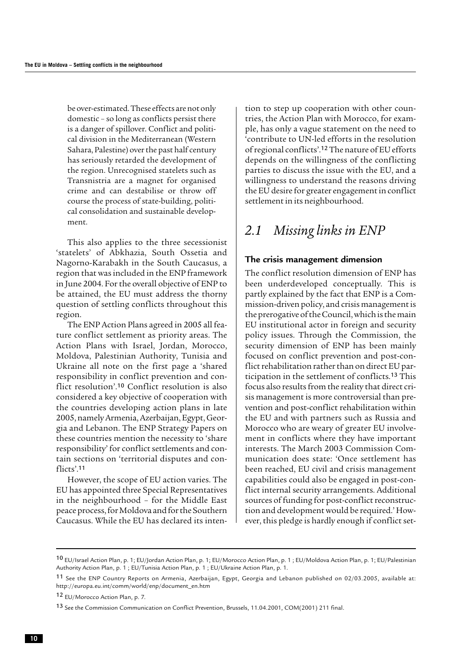<span id="page-11-0"></span>be over-estimated. These effects are not only domestic – so long as conflicts persist there is a danger of spillover. Conflict and political division in the Mediterranean (Western Sahara, Palestine) over the past half century has seriously retarded the development of the region. Unrecognised statelets such as Transnistria are a magnet for organised crime and can destabilise or throw off course the process of state-building, political consolidation and sustainable development.

This also applies to the three secessionist 'statelets' of Abkhazia, South Ossetia and Nagorno-Karabakh in the South Caucasus, a region that was included in the ENP framework in June 2004. For the overall objective of ENP to be attained, the EU must address the thorny question of settling conflicts throughout this region.

The ENP Action Plans agreed in 2005 all feature conflict settlement as priority areas. The Action Plans with Israel, Jordan, Morocco, Moldova, Palestinian Authority, Tunisia and Ukraine all note on the first page a 'shared responsibility in conflict prevention and conflict resolution'.<sup>10</sup> Conflict resolution is also considered a key objective of cooperation with the countries developing action plans in late 2005, namely Armenia, Azerbaijan, Egypt, Georgia and Lebanon. The ENP Strategy Papers on these countries mention the necessity to 'share responsibility' for conflict settlements and contain sections on 'territorial disputes and conflicts'.<sup>11</sup>

However, the scope of EU action varies. The EU has appointed three Special Representatives in the neighbourhood – for the Middle East peace process, for Moldova and for the Southern Caucasus. While the EU has declared its inten-

tion to step up cooperation with other countries, the Action Plan with Morocco, for example, has only a vague statement on the need to 'contribute to UN-led efforts in the resolution of regional conflicts'.12The nature of EU efforts depends on the willingness of the conflicting parties to discuss the issue with the EU, and a willingness to understand the reasons driving the EU desire for greater engagement in conflict settlement in its neighbourhood.

### *2.1 Missing links in ENP*

#### **The crisis management dimension**

The conflict resolution dimension of ENP has been underdeveloped conceptually. This is partly explained by the fact that ENP is a Commission-driven policy, and crisis management is the prerogative of the Council, which is the main EU institutional actor in foreign and security policy issues. Through the Commission, the security dimension of ENP has been mainly focused on conflict prevention and post-conflict rehabilitation rather than on direct EU participation in the settlement of conflicts.<sup>13</sup> This focus also results from the reality that direct crisis management is more controversial than prevention and post-conflict rehabilitation within the EU and with partners such as Russia and Morocco who are weary of greater EU involvement in conflicts where they have important interests. The March 2003 Commission Communication does state: 'Once settlement has been reached, EU civil and crisis management capabilities could also be engaged in post-conflict internal security arrangements. Additional sources of funding for post-conflict reconstruction and development would be required.' However, this pledge is hardly enough if conflict set-

<sup>10</sup> EU/Israel Action Plan, p. 1; EU/Jordan Action Plan, p. 1; EU/Morocco Action Plan, p. 1 ; EU/Moldova Action Plan, p. 1; EU/Palestinian Authority Action Plan, p. 1 ; EU/Tunisia Action Plan, p. 1 ; EU/Ukraine Action Plan, p. 1.

<sup>11</sup> See the ENP Country Reports on Armenia, Azerbaijan, Egypt, Georgia and Lebanon published on 02/03.2005, available at: http://europa.eu.int/comm/world/enp/document\_en.htm

<sup>12</sup> EU/Morocco Action Plan, p. 7.

<sup>13</sup> See the Commission Communication on Conflict Prevention, Brussels, 11.04.2001, COM(2001) 211 final.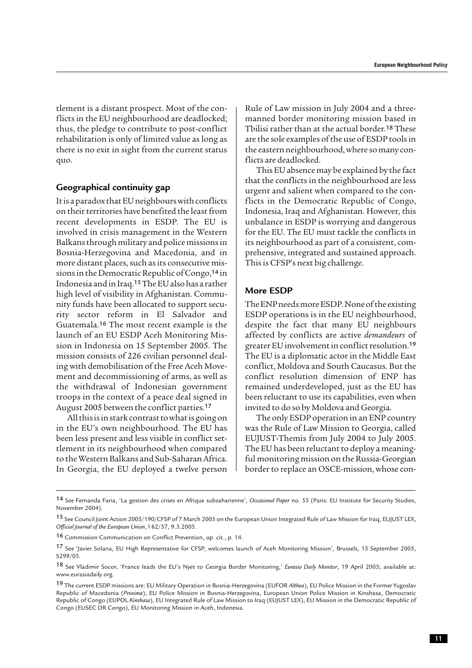tlement is a distant prospect. Most of the conflicts in the EU neighbourhood are deadlocked; thus, the pledge to contribute to post-conflict rehabilitation is only of limited value as long as there is no exit in sight from the current status quo.

#### **Geographical continuity gap**

It is a paradox that EU neighbours with conflicts on their territories have benefited the least from recent developments in ESDP. The EU is involved in crisis management in the Western Balkans through military and police missions in Bosnia-Herzegovina and Macedonia, and in more distant places, such as its consecutive missions in the Democratic Republic of Congo,<sup>14</sup> in Indonesia and in Iraq.15The EU also has a rather high level of visibility in Afghanistan. Community funds have been allocated to support security sector reform in El Salvador and Guatemala.<sup>16</sup> The most recent example is the launch of an EU ESDP Aceh Monitoring Mission in Indonesia on 15 September 2005. The mission consists of 226 civilian personnel dealing with demobilisation of the Free Aceh Movement and decommissioning of arms, as well as the withdrawal of Indonesian government troops in the context of a peace deal signed in August 2005 between the conflict parties.<sup>17</sup>

All this is in stark contrast to what is going on in the EU's own neighbourhood. The EU has been less present and less visible in conflict settlement in its neighbourhood when compared to the Western Balkans and Sub-Saharan Africa. In Georgia, the EU deployed a twelve person

Rule of Law mission in July 2004 and a threemanned border monitoring mission based in Tbilisi rather than at the actual border.<sup>18</sup> These are the sole examples of the use of ESDP tools in the eastern neighbourhood, where so many conflicts are deadlocked.

This EU absence may be explained by the fact that the conflicts in the neighbourhood are less urgent and salient when compared to the conflicts in the Democratic Republic of Congo, Indonesia, Iraq and Afghanistan. However, this unbalance in ESDP is worrying and dangerous for the EU. The EU must tackle the conflicts in its neighbourhood as part of a consistent, comprehensive, integrated and sustained approach. This is CFSP's next big challenge.

#### **More ESDP**

The ENP needs more ESDP. None of the existing ESDP operations is in the EU neighbourhood, despite the fact that many EU neighbours affected by conflicts are active *demandeurs* of greater EU involvement in conflict resolution.<sup>19</sup> The EU is a diplomatic actor in the Middle East conflict, Moldova and South Caucasus. But the conflict resolution dimension of ENP has remained underdeveloped, just as the EU has been reluctant to use its capabilities, even when invited to do so by Moldova and Georgia.

The only ESDP operation in an ENP country was the Rule of Law Mission to Georgia, called EUJUST-Themis from July 2004 to July 2005. The EU has been reluctant to deploy a meaningful monitoring mission on the Russia-Georgian border to replace an OSCE-mission, whose con-

<sup>14</sup> See Fernanda Faria, 'La gestion des crises en Afrique subsaharienne', *Occasional Paper* no. 55 (Paris: EU Institute for Security Studies, November 2004).

<sup>15</sup> See Council Joint Action 2005/190/CFSP of 7 March 2005 on the European Union Integrated Rule of Law Mission for Iraq, EUJUST LEX, *Official Journal of the European Union*, l 62/37, 9.3.2005.

<sup>16</sup> Commission Communication on Conflict Prevention, op. cit., p. 14.

<sup>17</sup> See 'Javier Solana, EU High Representative for CFSP, welcomes launch of Aceh Monitoring Mission', Brussels, 15 September 2005, S299/05.

<sup>18</sup> See Vladimir Socor, 'France leads the EU's Nyet to Georgia Border Monitoring,' *Eurasia Daily Monitor*, 19 April 2005; available at: www.eurasiadaily.org.

<sup>19</sup> The current ESDP missions are: EU Military Operation in Bosnia-Herzegovina (EUFOR *Althea*), EU Police Mission in the Former Yugoslav Republic of Macedonia (*Proxima*), EU Police Mission in Bosnia-Herzegovina, European Union Police Mission in Kinshasa, Democratic Republic of Congo (EUPOL *Kinshasa*), EU Integrated Rule of Law Mission to Iraq (EUJUST LEX), EU Mission in the Democratic Republic of Congo (EUSEC DR Congo), EU Monitoring Mission in Aceh, Indonesia.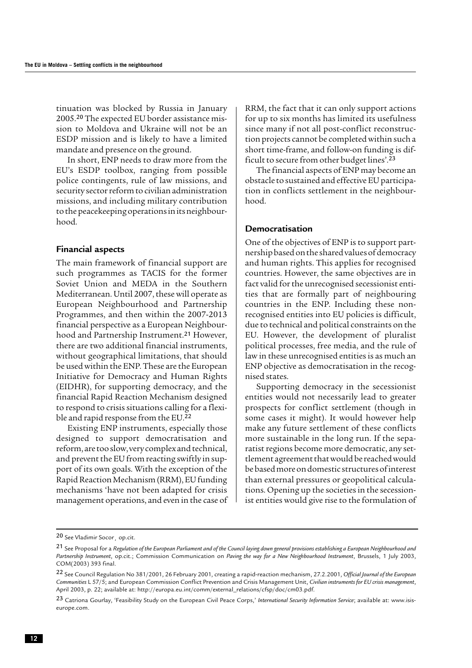tinuation was blocked by Russia in January 2005.<sup>20</sup> The expected EU border assistance mission to Moldova and Ukraine will not be an ESDP mission and is likely to have a limited mandate and presence on the ground.

In short, ENP needs to draw more from the EU's ESDP toolbox, ranging from possible police contingents, rule of law missions, and security sector reform to civilian administration missions, and including military contribution to the peacekeeping operations in its neighbourhood.

#### **Financial aspects**

The main framework of financial support are such programmes as TACIS for the former Soviet Union and MEDA in the Southern Mediterranean. Until 2007, these will operate as European Neighbourhood and Partnership Programmes, and then within the 2007-2013 financial perspective as a European Neighbourhood and Partnership Instrument.<sup>21</sup> However, there are two additional financial instruments, without geographical limitations, that should be used within the ENP. These are the European Initiative for Democracy and Human Rights (EIDHR), for supporting democracy, and the financial Rapid Reaction Mechanism designed to respond to crisis situations calling for a flexible and rapid response from the EU.<sup>22</sup>

Existing ENP instruments, especially those designed to support democratisation and reform, are too slow, very complex and technical, and prevent the EU from reacting swiftly in support of its own goals. With the exception of the Rapid Reaction Mechanism (RRM), EU funding mechanisms 'have not been adapted for crisis management operations, and even in the case of RRM, the fact that it can only support actions for up to six months has limited its usefulness since many if not all post-conflict reconstruction projects cannot be completed within such a short time-frame, and follow-on funding is difficult to secure from other budget lines'.<sup>23</sup>

The financial aspects of ENP may become an obstacle to sustained and effective EU participation in conflicts settlement in the neighbourhood.

#### **Democratisation**

One of the objectives of ENP is to support partnership based on the shared values of democracy and human rights. This applies for recognised countries. However, the same objectives are in fact valid for the unrecognised secessionist entities that are formally part of neighbouring countries in the ENP. Including these nonrecognised entities into EU policies is difficult, due to technical and political constraints on the EU. However, the development of pluralist political processes, free media, and the rule of law in these unrecognised entities is as much an ENP objective as democratisation in the recognised states.

Supporting democracy in the secessionist entities would not necessarily lead to greater prospects for conflict settlement (though in some cases it might). It would however help make any future settlement of these conflicts more sustainable in the long run. If the separatist regions become more democratic, any settlement agreement that would be reached would be based more on domestic structures of interest than external pressures or geopolitical calculations. Opening up the societies in the secessionist entities would give rise to the formulation of

<sup>20</sup> See Vladimir Socor¸ op.cit.

<sup>21</sup> See Proposal for a *Regulation of the European Parliament and of the Council laying down general provisions establishing a European Neighbourhood and Partnership Instrument*, op.cit.; Commission Communication on *Paving the way for a New Neighbourhood Instrument*, Brussels, 1 July 2003, COM(2003) 393 final.

<sup>22</sup> See Council Regulation No 381/2001, 26 February 2001, creating a rapid-reaction mechanism, 27.2.2001, *Official Journal of the European Communities* L 57/5; and European Commission Conflict Prevention and Crisis Management Unit, *Civilian instruments for EU crisis management*, April 2003, p. 22; available at: http://europa.eu.int/comm/external\_relations/cfsp/doc/cm03.pdf.

<sup>23</sup> Catriona Gourlay, 'Feasibility Study on the European Civil Peace Corps,' *International Security Information Service*; available at: www.isiseurope.com.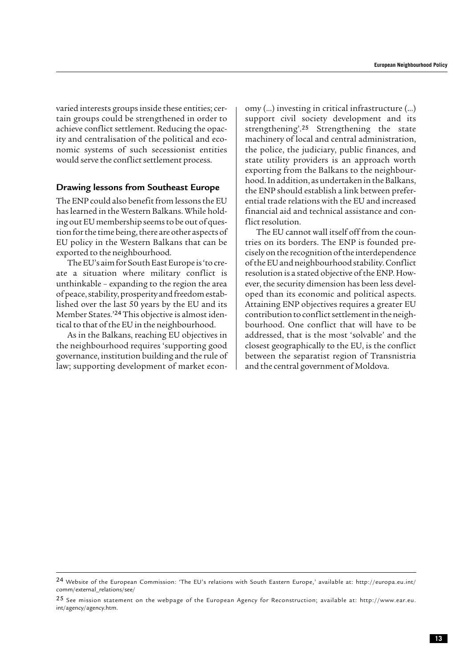varied interests groups inside these entities; certain groups could be strengthened in order to achieve conflict settlement. Reducing the opacity and centralisation of the political and economic systems of such secessionist entities would serve the conflict settlement process.

#### **Drawing lessons from Southeast Europe**

The ENP could also benefit from lessons the EU has learned in the Western Balkans. While holding out EU membership seems to be out of question for the time being, there are other aspects of EU policy in the Western Balkans that can be exported to the neighbourhood.

The EU's aim for South East Europe is 'to create a situation where military conflict is unthinkable – expanding to the region the area of peace, stability, prosperity and freedom established over the last 50 years by the EU and its Member States.'<sup>24</sup> This objective is almost identical to that of the EU in the neighbourhood.

As in the Balkans, reaching EU objectives in the neighbourhood requires 'supporting good governance, institution building and the rule of law; supporting development of market economy (…) investing in critical infrastructure (…) support civil society development and its strengthening'.<sup>25</sup> Strengthening the state machinery of local and central administration, the police, the judiciary, public finances, and state utility providers is an approach worth exporting from the Balkans to the neighbourhood. In addition, as undertaken in the Balkans, the ENP should establish a link between preferential trade relations with the EU and increased financial aid and technical assistance and conflict resolution.

The EU cannot wall itself off from the countries on its borders. The ENP is founded precisely on the recognition of the interdependence of the EU and neighbourhood stability. Conflict resolution is a stated objective of the ENP. However, the security dimension has been less developed than its economic and political aspects. Attaining ENP objectives requires a greater EU contribution to conflict settlement in the neighbourhood. One conflict that will have to be addressed, that is the most 'solvable' and the closest geographically to the EU, is the conflict between the separatist region of Transnistria and the central government of Moldova.

<sup>24</sup> Website of the European Commission: 'The EU's relations with South Eastern Europe,' available at: http://europa.eu.int/ comm/external\_relations/see/

<sup>25</sup> See mission statement on the webpage of the European Agency for Reconstruction; available at: http://www.ear.eu. int/agency/agency.htm.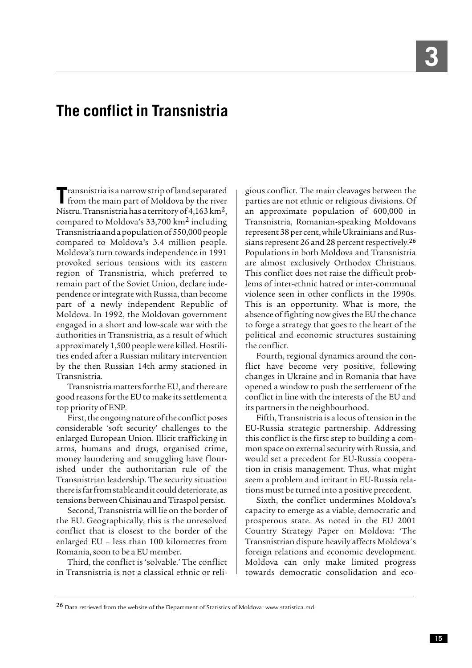### <span id="page-16-0"></span>**The conflict in Transnistria**

**T**ransnistria is a narrow strip of land separated from the main part of Moldova by the river Nistru. Transnistria has a territory of  $4,163 \mathrm{km^2}$ , compared to Moldova's 33,700 km2 including Transnistria and a population of 550,000 people compared to Moldova's 3.4 million people. Moldova's turn towards independence in 1991 provoked serious tensions with its eastern region of Transnistria, which preferred to remain part of the Soviet Union, declare independence or integrate with Russia, than become part of a newly independent Republic of Moldova. In 1992, the Moldovan government engaged in a short and low-scale war with the authorities in Transnistria, as a result of which approximately 1,500 people were killed. Hostilities ended after a Russian military intervention by the then Russian 14th army stationed in Transnistria.

Transnistria matters for the EU, and there are good reasons for the EU to make its settlement a top priority of ENP.

First, the ongoing nature of the conflict poses considerable 'soft security' challenges to the enlarged European Union. Illicit trafficking in arms, humans and drugs, organised crime, money laundering and smuggling have flourished under the authoritarian rule of the Transnistrian leadership. The security situation there is far from stable and it could deteriorate, as tensions between Chisinau and Tiraspol persist.

Second, Transnistria will lie on the border of the EU. Geographically, this is the unresolved conflict that is closest to the border of the enlarged EU – less than 100 kilometres from Romania, soon to be a EU member.

Third, the conflict is 'solvable.' The conflict in Transnistria is not a classical ethnic or religious conflict. The main cleavages between the parties are not ethnic or religious divisions. Of an approximate population of 600,000 in Transnistria, Romanian-speaking Moldovans represent 38 per cent, while Ukrainians and Russians represent 26 and 28 percent respectively.<sup>26</sup> Populations in both Moldova and Transnistria are almost exclusively Orthodox Christians. This conflict does not raise the difficult problems of inter-ethnic hatred or inter-communal violence seen in other conflicts in the 1990s. This is an opportunity. What is more, the absence of fighting now gives the EU the chance to forge a strategy that goes to the heart of the political and economic structures sustaining the conflict.

Fourth, regional dynamics around the conflict have become very positive, following changes in Ukraine and in Romania that have opened a window to push the settlement of the conflict in line with the interests of the EU and its partners in the neighbourhood.

Fifth, Transnistria is a locus of tension in the EU-Russia strategic partnership. Addressing this conflict is the first step to building a common space on external security with Russia, and would set a precedent for EU-Russia cooperation in crisis management. Thus, what might seem a problem and irritant in EU-Russia relations must be turned into a positive precedent.

Sixth, the conflict undermines Moldova's capacity to emerge as a viable, democratic and prosperous state. As noted in the EU 2001 Country Strategy Paper on Moldova: 'The Transnistrian dispute heavily affects Moldova's foreign relations and economic development. Moldova can only make limited progress towards democratic consolidation and eco-

<sup>26</sup> Data retrieved from the website of the Department of Statistics of Moldova: www.statistica.md.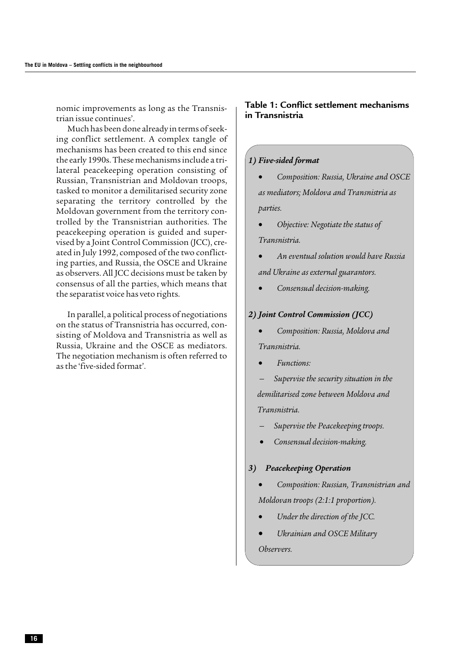nomic improvements as long as the Transnistrian issue continues'.

Much has been done already in terms of seeking conflict settlement. A complex tangle of mechanisms has been created to this end since the early 1990s. These mechanisms include a trilateral peacekeeping operation consisting of Russian, Transnistrian and Moldovan troops, tasked to monitor a demilitarised security zone separating the territory controlled by the Moldovan government from the territory controlled by the Transnistrian authorities. The peacekeeping operation is guided and supervised by a Joint Control Commission (JCC), created in July 1992, composed of the two conflicting parties, and Russia, the OSCE and Ukraine as observers. All JCC decisions must be taken by consensus of all the parties, which means that the separatist voice has veto rights.

In parallel, a political process of negotiations on the status of Transnistria has occurred, consisting of Moldova and Transnistria as well as Russia, Ukraine and the OSCE as mediators. The negotiation mechanism is often referred to as the 'five-sided format'.

#### **Table 1: Conflict settlement mechanisms in Transnistria**

#### *1) Five-sided format*

• *Composition: Russia, Ukraine and OSCE as mediators; Moldova and Transnistria as parties.*

- *Objective: Negotiate the status of Transnistria.*
- *An eventual solution would have Russia and Ukraine as external guarantors.*
- *Consensual decision-making.*

#### *2) Joint Control Commission (JCC)*

- *Composition: Russia, Moldova and Transnistria.*
- *Functions:*

– *Supervise the security situation in the demilitarised zone between Moldova and Transnistria.*

- *Supervise the Peacekeeping troops.*
- *Consensual decision-making.*

#### *3) Peacekeeping Operation*

• *Composition: Russian, Transnistrian and* 

*Moldovan troops (2:1:1 proportion).*

- *Under the direction of the JCC.*
- *Ukrainian and OSCE Military Observers.*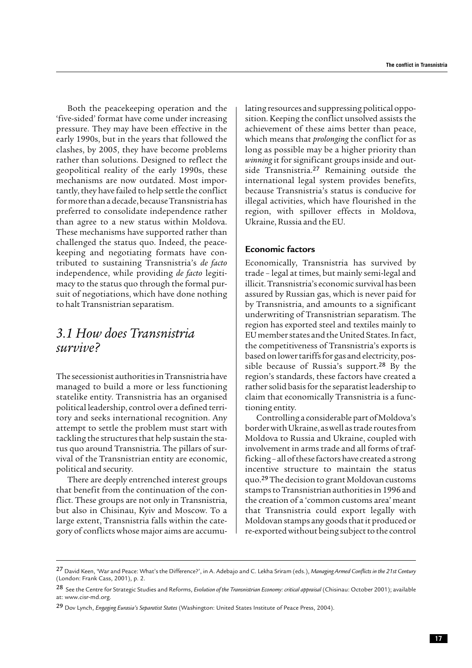<span id="page-18-0"></span>Both the peacekeeping operation and the 'five-sided' format have come under increasing pressure. They may have been effective in the early 1990s, but in the years that followed the clashes, by 2005, they have become problems rather than solutions. Designed to reflect the geopolitical reality of the early 1990s, these mechanisms are now outdated. Most importantly, they have failed to help settle the conflict for more than a decade, because Transnistria has preferred to consolidate independence rather than agree to a new status within Moldova. These mechanisms have supported rather than challenged the status quo. Indeed, the peacekeeping and negotiating formats have contributed to sustaining Transnistria's *de facto* independence, while providing *de facto* legitimacy to the status quo through the formal pursuit of negotiations, which have done nothing to halt Transnistrian separatism.

### *3.1 How does Transnistria survive?*

The secessionist authorities in Transnistria have managed to build a more or less functioning statelike entity. Transnistria has an organised political leadership, control over a defined territory and seeks international recognition. Any attempt to settle the problem must start with tackling the structures that help sustain the status quo around Transnistria. The pillars of survival of the Transnistrian entity are economic, political and security.

There are deeply entrenched interest groups that benefit from the continuation of the conflict. These groups are not only in Transnistria, but also in Chisinau, Kyiv and Moscow. To a large extent, Transnistria falls within the category of conflicts whose major aims are accumulating resources and suppressing political opposition. Keeping the conflict unsolved assists the achievement of these aims better than peace, which means that *prolonging* the conflict for as long as possible may be a higher priority than *winning* it for significant groups inside and outside Transnistria.<sup>27</sup> Remaining outside the international legal system provides benefits, because Transnistria's status is conducive for illegal activities, which have flourished in the region, with spillover effects in Moldova, Ukraine, Russia and the EU.

#### **Economic factors**

Economically, Transnistria has survived by trade – legal at times, but mainly semi-legal and illicit. Transnistria's economic survival has been assured by Russian gas, which is never paid for by Transnistria, and amounts to a significant underwriting of Transnistrian separatism. The region has exported steel and textiles mainly to EU member states and the United States. In fact, the competitiveness of Transnistria's exports is based on lower tariffs for gas and electricity, possible because of Russia's support.<sup>28</sup> By the region's standards, these factors have created a rather solid basis for the separatist leadership to claim that economically Transnistria is a functioning entity.

Controlling a considerable part of Moldova's border with Ukraine, as well as trade routes from Moldova to Russia and Ukraine, coupled with involvement in arms trade and all forms of trafficking – all of these factors have created a strong incentive structure to maintain the status quo.29The decision to grant Moldovan customs stamps to Transnistrian authorities in 1996 and the creation of a 'common customs area' meant that Transnistria could export legally with Moldovan stamps any goods that it produced or re-exported without being subject to the control

<sup>27</sup> David Keen, 'War and Peace: What's the Difference?', in A. Adebajo and C. Lekha Sriram (eds.), *Managing Armed Conflicts in the 21st Century* (London: Frank Cass, 2001), p. 2.

<sup>28</sup> See the Centre for Strategic Studies and Reforms, *Evolution of the Transnistrian Economy: critical appraisal* (Chisinau: October 2001); available at: www.cisr-md.org.

<sup>29</sup> Dov Lynch, *Engaging Eurasia's Separatist States* (Washington: United States Institute of Peace Press, 2004).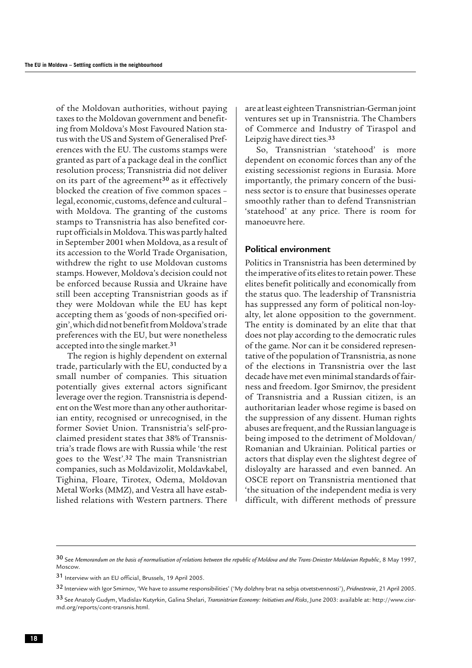of the Moldovan authorities, without paying taxes to the Moldovan government and benefiting from Moldova's Most Favoured Nation status with the US and System of Generalised Preferences with the EU. The customs stamps were granted as part of a package deal in the conflict resolution process; Transnistria did not deliver on its part of the agreement<sup>30</sup> as it effectively blocked the creation of five common spaces – legal, economic, customs, defence and cultural – with Moldova. The granting of the customs stamps to Transnistria has also benefited corrupt officials in Moldova. This was partly halted in September 2001 when Moldova, as a result of its accession to the World Trade Organisation, withdrew the right to use Moldovan customs stamps. However, Moldova's decision could not be enforced because Russia and Ukraine have still been accepting Transnistrian goods as if they were Moldovan while the EU has kept accepting them as 'goods of non-specified origin', which did not benefit from Moldova's trade preferences with the EU, but were nonetheless accepted into the single market.<sup>31</sup>

The region is highly dependent on external trade, particularly with the EU, conducted by a small number of companies. This situation potentially gives external actors significant leverage over the region. Transnistria is dependent on the West more than any other authoritarian entity, recognised or unrecognised, in the former Soviet Union. Transnistria's self-proclaimed president states that 38% of Transnistria's trade flows are with Russia while 'the rest goes to the West'.<sup>32</sup> The main Transnistrian companies, such as Moldavizolit, Moldavkabel, Tighina, Floare, Tirotex, Odema, Moldovan Metal Works (MMZ), and Vestra all have established relations with Western partners. There

are at least eighteen Transnistrian-German joint ventures set up in Transnistria. The Chambers of Commerce and Industry of Tiraspol and Leipzig have direct ties.<sup>33</sup>

So, Transnistrian 'statehood' is more dependent on economic forces than any of the existing secessionist regions in Eurasia. More importantly, the primary concern of the business sector is to ensure that businesses operate smoothly rather than to defend Transnistrian 'statehood' at any price. There is room for manoeuvre here.

#### **Political environment**

Politics in Transnistria has been determined by the imperative of its elites to retain power. These elites benefit politically and economically from the status quo. The leadership of Transnistria has suppressed any form of political non-loyalty, let alone opposition to the government. The entity is dominated by an elite that that does not play according to the democratic rules of the game. Nor can it be considered representative of the population of Transnistria, as none of the elections in Transnistria over the last decade have met even minimal standards of fairness and freedom. Igor Smirnov, the president of Transnistria and a Russian citizen, is an authoritarian leader whose regime is based on the suppression of any dissent. Human rights abuses are frequent, and the Russian language is being imposed to the detriment of Moldovan/ Romanian and Ukrainian. Political parties or actors that display even the slightest degree of disloyalty are harassed and even banned. An OSCE report on Transnistria mentioned that 'the situation of the independent media is very difficult, with different methods of pressure

<sup>30</sup> See *Memorandum on the basis of normalisation of relations between the republic of Moldova and the Trans-Dniester Moldavian Republic*, 8 May 1997, Moscow.

<sup>31</sup> Interview with an EU official, Brussels, 19 April 2005.

<sup>32</sup> Interview with Igor Smirnov, 'We have to assume responsibilities' ('My dolzhny brat na sebja otvetstvennosti'), *Pridnestrovie*, 21 April 2005.

<sup>33</sup> See Anatoly Gudym, Vladislav Kutyrkin, Galina Shelari, *Transnistrian Economy: Initiatives and Risks*, June 2003: available at: http://www.cisrmd.org/reports/cont-transnis.html.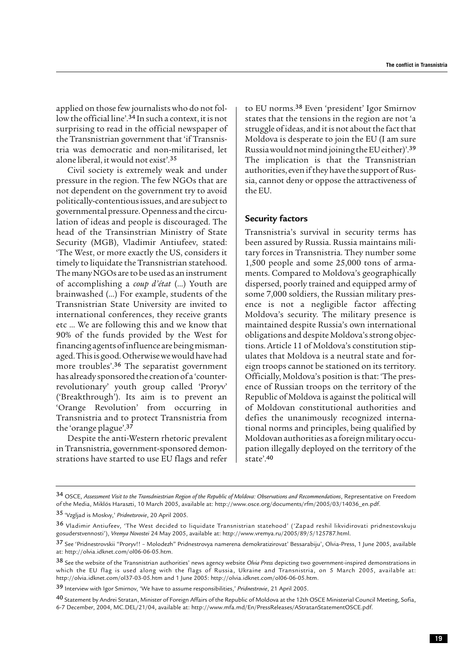applied on those few journalists who do not follow the official line'.<sup>34</sup> In such a context, it is not surprising to read in the official newspaper of the Transnistrian government that 'if Transnistria was democratic and non-militarised, let alone liberal, it would not exist'.<sup>35</sup>

Civil society is extremely weak and under pressure in the region. The few NGOs that are not dependent on the government try to avoid politically-contentious issues, and are subject to governmental pressure. Openness and the circulation of ideas and people is discouraged. The head of the Transinstrian Ministry of State Security (MGB), Vladimir Antiufeev, stated: 'The West, or more exactly the US, considers it timely to liquidate the Transnistrian statehood. The many NGOs are to be used as an instrument of accomplishing a *coup d'état* (…) Youth are brainwashed (…) For example, students of the Transnistrian State University are invited to international conferences, they receive grants etc … We are following this and we know that 90% of the funds provided by the West for financing agents of influence are being mismanaged. This is good. Otherwise we would have had more troubles'.<sup>36</sup> The separatist government has already sponsored the creation of a 'counterrevolutionary' youth group called 'Proryv' ('Breakthrough'). Its aim is to prevent an 'Orange Revolution' from occurring in Transnistria and to protect Transnistria from the 'orange plague'.<sup>37</sup>

Despite the anti-Western rhetoric prevalent in Transnistria, government-sponsored demonstrations have started to use EU flags and refer

to EU norms.<sup>38</sup> Even 'president' Igor Smirnov states that the tensions in the region are not 'a struggle of ideas, and it is not about the fact that Moldova is desperate to join the EU (I am sure Russia would not mind joining the EU either)'.<sup>39</sup> The implication is that the Transnistrian authorities, even if they have the support of Russia, cannot deny or oppose the attractiveness of the EU.

#### **Security factors**

Transnistria's survival in security terms has been assured by Russia. Russia maintains military forces in Transnistria. They number some 1,500 people and some 25,000 tons of armaments. Compared to Moldova's geographically dispersed, poorly trained and equipped army of some 7,000 soldiers, the Russian military presence is not a negligible factor affecting Moldova's security. The military presence is maintained despite Russia's own international obligations and despite Moldova's strong objections. Article 11 of Moldova's constitution stipulates that Moldova is a neutral state and foreign troops cannot be stationed on its territory. Officially, Moldova's position is that: 'The presence of Russian troops on the territory of the Republic of Moldova is against the political will of Moldovan constitutional authorities and defies the unanimously recognized international norms and principles, being qualified by Moldovan authorities as a foreign military occupation illegally deployed on the territory of the state'.<sup>40</sup>

<sup>34</sup> OSCE, *Assessment Visit to the Transdniestrian Region of the Republic of Moldova: Observations and Recommendations*, Representative on Freedom of the Media, Miklós Haraszti, 10 March 2005, available at: http://www.osce.org/documents/rfm/2005/03/14036\_en.pdf.

<sup>35</sup> 'Vzgljad is Moskvy,' *Pridnetsrovie*, 20 April 2005.

<sup>36</sup> Vladimir Antiufeev, 'The West decided to liquidate Transnistrian statehood' ('Zapad reshil likvidirovati pridnestovskuju gosuderstvennosti'), *Vremya Novostei* 24 May 2005, available at: http://www.vremya.ru/2005/89/5/125787.html.

<sup>37</sup> See 'Pridnestrovskii "Proryv!! – Molodezh" Pridnestrovya namerena demokratizirovat' Bessarabiju', Olvia-Press, 1 June 2005, available at: http://olvia.idknet.com/ol06-06-05.htm.

<sup>38</sup> See the website of the Transnistrian authorities' news agency website *Olvia Press* depicting two government-inspired demonstrations in which the EU flag is used along with the flags of Russia, Ukraine and Transnistria, on 5 March 2005, available at: http://olvia.idknet.com/ol37-03-05.htm and 1 June 2005: http://olvia.idknet.com/ol06-06-05.htm.

<sup>39</sup> Interview with Igor Smirnov, 'We have to assume responsibilities,' *Pridnestrovie*, 21 April 2005.

<sup>40</sup> Statement by Andrei Stratan, Minister of Foreign Affairs of the Republic of Moldova at the 12th OSCE Ministerial Council Meeting, Sofia, 6-7 December, 2004, MC.DEL/21/04, available at: http://www.mfa.md/En/PressReleases/AStratanStatementOSCE.pdf.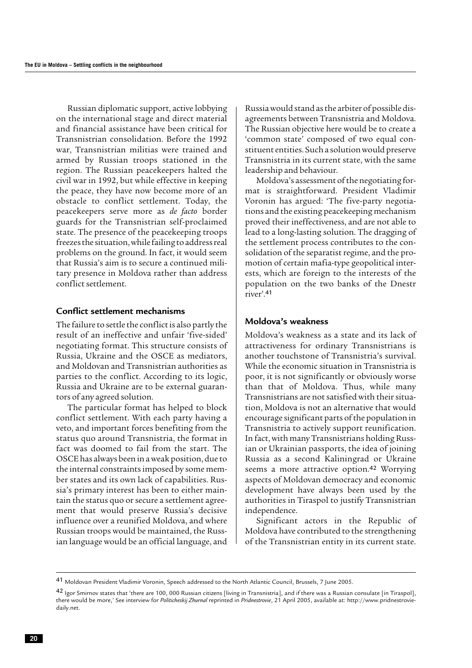Russian diplomatic support, active lobbying on the international stage and direct material and financial assistance have been critical for Transnistrian consolidation. Before the 1992 war, Transnistrian militias were trained and armed by Russian troops stationed in the region. The Russian peacekeepers halted the civil war in 1992, but while effective in keeping the peace, they have now become more of an obstacle to conflict settlement. Today, the peacekeepers serve more as *de facto* border guards for the Transnistrian self-proclaimed state. The presence of the peacekeeping troops freezes the situation, while failing to address real problems on the ground. In fact, it would seem that Russia's aim is to secure a continued military presence in Moldova rather than address conflict settlement.

#### **Conflict settlement mechanisms**

The failure to settle the conflict is also partly the result of an ineffective and unfair 'five-sided' negotiating format. This structure consists of Russia, Ukraine and the OSCE as mediators, and Moldovan and Transnistrian authorities as parties to the conflict. According to its logic, Russia and Ukraine are to be external guarantors of any agreed solution.

The particular format has helped to block conflict settlement. With each party having a veto, and important forces benefiting from the status quo around Transnistria, the format in fact was doomed to fail from the start. The OSCE has always been in a weak position, due to the internal constraints imposed by some member states and its own lack of capabilities. Russia's primary interest has been to either maintain the status quo or secure a settlement agreement that would preserve Russia's decisive influence over a reunified Moldova, and where Russian troops would be maintained, the Russian language would be an official language, and

Russia would stand as the arbiter of possible disagreements between Transnistria and Moldova. The Russian objective here would be to create a 'common state' composed of two equal constituent entities. Such a solution would preserve Transnistria in its current state, with the same leadership and behaviour.

Moldova's assessment of the negotiating format is straightforward. President Vladimir Voronin has argued: 'The five-party negotiations and the existing peacekeeping mechanism proved their ineffectiveness, and are not able to lead to a long-lasting solution. The dragging of the settlement process contributes to the consolidation of the separatist regime, and the promotion of certain mafia-type geopolitical interests, which are foreign to the interests of the population on the two banks of the Dnestr river'.<sup>41</sup>

#### **Moldova's weakness**

Moldova's weakness as a state and its lack of attractiveness for ordinary Transnistrians is another touchstone of Transnistria's survival. While the economic situation in Transnistria is poor, it is not significantly or obviously worse than that of Moldova. Thus, while many Transnistrians are not satisfied with their situation, Moldova is not an alternative that would encourage significant parts of the population in Transnistria to actively support reunification. In fact, with many Transnistrians holding Russian or Ukrainian passports, the idea of joining Russia as a second Kaliningrad or Ukraine seems a more attractive option.<sup>42</sup> Worrying aspects of Moldovan democracy and economic development have always been used by the authorities in Tiraspol to justify Transnistrian independence.

Significant actors in the Republic of Moldova have contributed to the strengthening of the Transnistrian entity in its current state.

<sup>41</sup> Moldovan President Vladimir Voronin, Speech addressed to the North Atlantic Council, Brussels, 7 June 2005.

 $42$  Igor Smirnov states that 'there are 100, 000 Russian citizens [living in Transnistria], and if there was a Russian consulate [in Tiraspol], there would be more,' See interview for *Politicheskij Zhurnal* reprinted in *Pridnestrovie*, 21 April 2005, available at: http://www.pridnestroviedaily.net.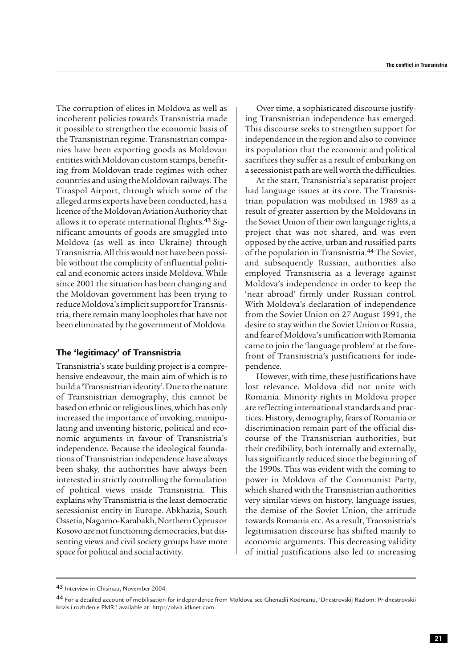The corruption of elites in Moldova as well as incoherent policies towards Transnistria made it possible to strengthen the economic basis of the Transnistrian regime. Transnistrian companies have been exporting goods as Moldovan entities with Moldovan custom stamps, benefiting from Moldovan trade regimes with other countries and using the Moldovan railways. The Tiraspol Airport, through which some of the alleged arms exports have been conducted, has a licence of the Moldovan Aviation Authority that allows it to operate international flights.<sup>43</sup> Significant amounts of goods are smuggled into Moldova (as well as into Ukraine) through Transnistria. All this would not have been possible without the complicity of influential political and economic actors inside Moldova. While since 2001 the situation has been changing and the Moldovan government has been trying to reduce Moldova's implicit support for Transnistria, there remain many loopholes that have not been eliminated by the government of Moldova.

#### **The 'legitimacy' of Transnistria**

Transnistria's state building project is a comprehensive endeavour, the main aim of which is to build a 'Transnistrian identity'. Due to the nature of Transnistrian demography, this cannot be based on ethnic or religious lines, which has only increased the importance of invoking, manipulating and inventing historic, political and economic arguments in favour of Transnistria's independence. Because the ideological foundations of Transnistrian independence have always been shaky, the authorities have always been interested in strictly controlling the formulation of political views inside Transnistria. This explains why Transnistria is the least democratic secessionist entity in Europe. Abkhazia, South Ossetia, Nagorno-Karabakh, Northern Cyprus or Kosovo are not functioning democracies, but dissenting views and civil society groups have more space for political and social activity.

Over time, a sophisticated discourse justifying Transnistrian independence has emerged. This discourse seeks to strengthen support for independence in the region and also to convince its population that the economic and political sacrifices they suffer as a result of embarking on a secessionist path are well worth the difficulties.

At the start, Transnistria's separatist project had language issues at its core. The Transnistrian population was mobilised in 1989 as a result of greater assertion by the Moldovans in the Soviet Union of their own language rights, a project that was not shared, and was even opposed by the active, urban and russified parts of the population in Transnistria.<sup>44</sup> The Soviet, and subsequently Russian, authorities also employed Transnistria as a leverage against Moldova's independence in order to keep the 'near abroad' firmly under Russian control. With Moldova's declaration of independence from the Soviet Union on 27 August 1991, the desire to stay within the Soviet Union or Russia, and fear of Moldova's unification with Romania came to join the 'language problem' at the forefront of Transnistria's justifications for independence.

However, with time, these justifications have lost relevance. Moldova did not unite with Romania. Minority rights in Moldova proper are reflecting international standards and practices. History, demography, fears of Romania or discrimination remain part of the official discourse of the Transnistrian authorities, but their credibility, both internally and externally, has significantly reduced since the beginning of the 1990s. This was evident with the coming to power in Moldova of the Communist Party, which shared with the Transnistrian authorities very similar views on history, language issues, the demise of the Soviet Union, the attitude towards Romania etc. As a result, Transnistria's legitimisation discourse has shifted mainly to economic arguments. This decreasing validity of initial justifications also led to increasing

<sup>43</sup> Interview in Chisinau, November 2004.

<sup>44</sup> For a detailed account of mobilisation for independence from Moldova see Ghenadii Kodreanu, 'Dnestrovskij Razlom: Pridnestrovskii krizis i rozhdenie PMR;' available at: http://olvia.idknet.com.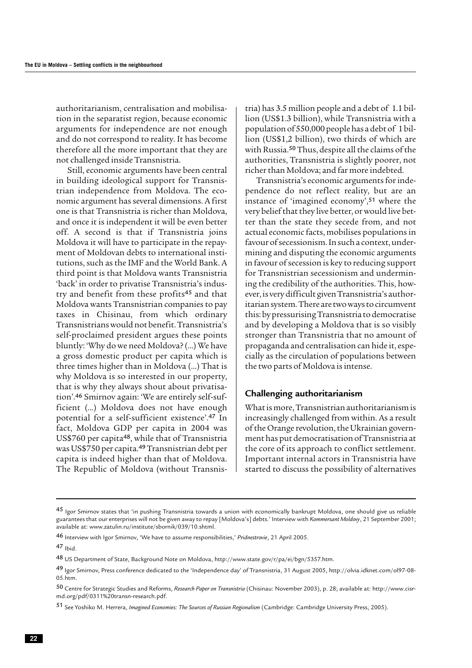authoritarianism, centralisation and mobilisation in the separatist region, because economic arguments for independence are not enough and do not correspond to reality. It has become therefore all the more important that they are not challenged inside Transnistria.

Still, economic arguments have been central in building ideological support for Transnistrian independence from Moldova. The economic argument has several dimensions. A first one is that Transnistria is richer than Moldova, and once it is independent it will be even better off. A second is that if Transnistria joins Moldova it will have to participate in the repayment of Moldovan debts to international institutions, such as the IMF and the World Bank. A third point is that Moldova wants Transnistria 'back' in order to privatise Transnistria's industry and benefit from these profits<sup>45</sup> and that Moldova wants Transnistrian companies to pay taxes in Chisinau, from which ordinary Transnistrians would not benefit. Transnistria's self-proclaimed president argues these points bluntly: 'Why do we need Moldova? (…) We have a gross domestic product per capita which is three times higher than in Moldova (…) That is why Moldova is so interested in our property, that is why they always shout about privatisation'.<sup>46</sup> Smirnov again: 'We are entirely self-sufficient (…) Moldova does not have enough potential for a self-sufficient existence'.<sup>47</sup> In fact, Moldova GDP per capita in 2004 was US\$760 per capita48, while that of Transnistria was US\$750 per capita.49Transnistrian debt per capita is indeed higher than that of Moldova. The Republic of Moldova (without Transnis-

tria) has 3.5 million people and a debt of 1.1 billion (US\$1.3 billion), while Transnistria with a population of 550,000 people has a debt of 1 billion (US\$1,2 billion), two thirds of which are with Russia.<sup>50</sup> Thus, despite all the claims of the authorities, Transnistria is slightly poorer, not richer than Moldova; and far more indebted.

Transnistria's economic arguments for independence do not reflect reality, but are an instance of 'imagined economy',<sup>51</sup> where the very belief that they live better, or would live better than the state they secede from, and not actual economic facts, mobilises populations in favour of secessionism. In such a context, undermining and disputing the economic arguments in favour of secession is key to reducing support for Transnistrian secessionism and undermining the credibility of the authorities. This, however, is very difficult given Transnistria's authoritarian system. There are two ways to circumvent this: by pressurising Transnistria to democratise and by developing a Moldova that is so visibly stronger than Transnistria that no amount of propaganda and centralisation can hide it, especially as the circulation of populations between the two parts of Moldova is intense.

#### **Challenging authoritarianism**

What is more, Transnistrian authoritarianism is increasingly challenged from within. As a result of the Orange revolution, the Ukrainian government has put democratisation of Transnistria at the core of its approach to conflict settlement. Important internal actors in Transnistria have started to discuss the possibility of alternatives

<sup>45</sup> Igor Smirnov states that 'in pushing Transnistria towards a union with economically bankrupt Moldova, one should give us reliable guarantees that our enterprises will not be given away to repay [Moldova's] debts.' Interview with *Kommersant Moldovy*, 21 September 2001; available at: www.zatulin.ru/institute/sbornik/039/10.shtml.

<sup>46</sup> Interview with Igor Smirnov, 'We have to assume responsibilities,' *Pridnestrovie*, 21 April 2005.

<sup>47</sup> Ibid.

<sup>48</sup> US Department of State, Background Note on Moldova, http://www.state.gov/r/pa/ei/bgn/5357.htm.

<sup>49</sup> Igor Smirnov, Press conference dedicated to the 'Independence day' of Transnistria, 31 August 2005, http://olvia.idknet.com/ol97-08- 05.htm.

<sup>50</sup> Centre for Strategic Studies and Reforms, *Research Paper on Transnistria* (Chisinau: November 2003), p. 28; available at: http://www.cisrmd.org/pdf/0311%20transn-research.pdf.

<sup>51</sup> See Yoshiko M. Herrera, *Imagined Economies: The Sources of Russian Regionalism* (Cambridge: Cambridge University Press, 2005).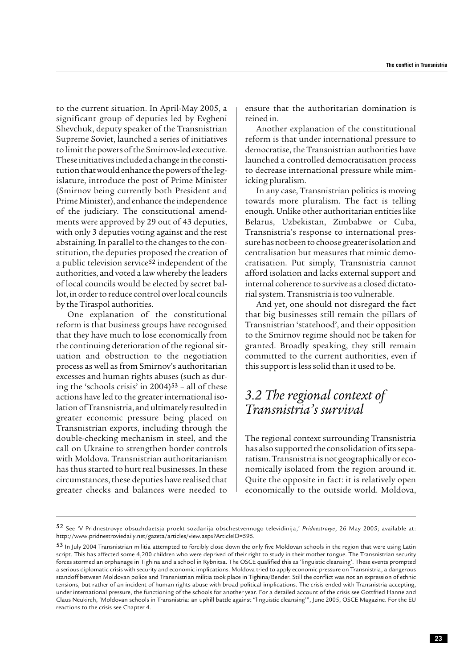<span id="page-24-0"></span>to the current situation. In April-May 2005, a significant group of deputies led by Evgheni Shevchuk, deputy speaker of the Transnistrian Supreme Soviet, launched a series of initiatives to limit the powers of the Smirnov-led executive. These initiatives included a change in the constitution that would enhance the powers of the legislature, introduce the post of Prime Minister (Smirnov being currently both President and Prime Minister), and enhance the independence of the judiciary. The constitutional amendments were approved by 29 out of 43 deputies, with only 3 deputies voting against and the rest abstaining. In parallel to the changes to the constitution, the deputies proposed the creation of a public television service<sup>52</sup> independent of the authorities, and voted a law whereby the leaders of local councils would be elected by secret ballot, in order to reduce control over local councils by the Tiraspol authorities.

One explanation of the constitutional reform is that business groups have recognised that they have much to lose economically from the continuing deterioration of the regional situation and obstruction to the negotiation process as well as from Smirnov's authoritarian excesses and human rights abuses (such as during the 'schools crisis' in 2004)<sup>53</sup> – all of these actions have led to the greater international isolation of Transnistria, and ultimately resulted in greater economic pressure being placed on Transnistrian exports, including through the double-checking mechanism in steel, and the call on Ukraine to strengthen border controls with Moldova. Transnistrian authoritarianism has thus started to hurt real businesses. In these circumstances, these deputies have realised that greater checks and balances were needed to

ensure that the authoritarian domination is reined in.

Another explanation of the constitutional reform is that under international pressure to democratise, the Transnistrian authorities have launched a controlled democratisation process to decrease international pressure while mimicking pluralism.

In any case, Transnistrian politics is moving towards more pluralism. The fact is telling enough. Unlike other authoritarian entities like Belarus, Uzbekistan, Zimbabwe or Cuba, Transnistria's response to international pressure has not been to choose greater isolation and centralisation but measures that mimic democratisation. Put simply, Transnistria cannot afford isolation and lacks external support and internal coherence to survive as a closed dictatorial system. Transnistria is too vulnerable.

And yet, one should not disregard the fact that big businesses still remain the pillars of Transnistrian 'statehood', and their opposition to the Smirnov regime should not be taken for granted. Broadly speaking, they still remain committed to the current authorities, even if this support is less solid than it used to be.

### *3.2 The regional context of Transnistria's survival*

The regional context surrounding Transnistria has also supported the consolidation of its separatism. Transnistria is not geographically or economically isolated from the region around it. Quite the opposite in fact: it is relatively open economically to the outside world. Moldova,

<sup>52</sup> See 'V Pridnestrovye obsuzhdaetsja proekt sozdanija obschestvennogo televidinija,' *Pridnestrovye*, 26 May 2005; available at: http://www.pridnestroviedaily.net/gazeta/articles/view.aspx?ArticleID=595.

<sup>53</sup> In July 2004 Transnistrian militia attempted to forcibly close down the only five Moldovan schools in the region that were using Latin script. This has affected some 4,200 children who were deprived of their right to study in their mother tongue. The Transnistrian security forces stormed an orphanage in Tighina and a school in Rybnitsa. The OSCE qualified this as 'linguistic cleansing'. These events prompted a serious diplomatic crisis with security and economic implications. Moldova tried to apply economic pressure on Transnistria, a dangerous standoff between Moldovan police and Transnistrian militia took place in Tighina/Bender. Still the conflict was not an expression of ethnic tensions, but rather of an incident of human rights abuse with broad political implications. The crisis ended with Transnistria accepting, under international pressure, the functioning of the schools for another year. For a detailed account of the crisis see Gottfried Hanne and Claus Neukirch, 'Moldovan schools in Transnistria: an uphill battle against "linguistic cleansing'", June 2005, OSCE Magazine. For the EU reactions to the crisis see Chapter 4.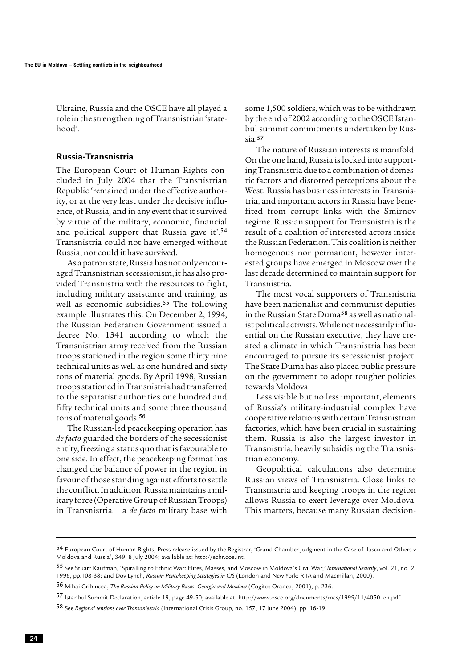Ukraine, Russia and the OSCE have all played a role in the strengthening of Transnistrian 'statehood'.

#### **Russia-Transnistria**

The European Court of Human Rights concluded in July 2004 that the Transnistrian Republic 'remained under the effective authority, or at the very least under the decisive influence, of Russia, and in any event that it survived by virtue of the military, economic, financial and political support that Russia gave it'.<sup>54</sup> Transnistria could not have emerged without Russia, nor could it have survived.

As a patron state, Russia has not only encouraged Transnistrian secessionism, it has also provided Transnistria with the resources to fight, including military assistance and training, as well as economic subsidies.<sup>55</sup> The following example illustrates this. On December 2, 1994, the Russian Federation Government issued a decree No. 1341 according to which the Transnistrian army received from the Russian troops stationed in the region some thirty nine technical units as well as one hundred and sixty tons of material goods. By April 1998, Russian troops stationed in Transnistria had transferred to the separatist authorities one hundred and fifty technical units and some three thousand tons of material goods.<sup>56</sup>

The Russian-led peacekeeping operation has *de facto* guarded the borders of the secessionist entity, freezing a status quo that is favourable to one side. In effect, the peacekeeping format has changed the balance of power in the region in favour of those standing against efforts to settle the conflict. In addition, Russia maintains a military force (Operative Group of Russian Troops) in Transnistria – a *de facto* military base with

some 1,500 soldiers, which was to be withdrawn by the end of 2002 according to the OSCE Istanbul summit commitments undertaken by Russia.<sup>57</sup>

The nature of Russian interests is manifold. On the one hand, Russia is locked into supporting Transnistria due to a combination of domestic factors and distorted perceptions about the West. Russia has business interests in Transnistria, and important actors in Russia have benefited from corrupt links with the Smirnov regime. Russian support for Transnistria is the result of a coalition of interested actors inside the Russian Federation. This coalition is neither homogenous nor permanent, however interested groups have emerged in Moscow over the last decade determined to maintain support for Transnistria.

The most vocal supporters of Transnistria have been nationalist and communist deputies in the Russian State Duma<sup>58</sup> as well as nationalist political activists. While not necessarily influential on the Russian executive, they have created a climate in which Transnistria has been encouraged to pursue its secessionist project. The State Duma has also placed public pressure on the government to adopt tougher policies towards Moldova.

Less visible but no less important, elements of Russia's military-industrial complex have cooperative relations with certain Transnistrian factories, which have been crucial in sustaining them. Russia is also the largest investor in Transnistria, heavily subsidising the Transnistrian economy.

Geopolitical calculations also determine Russian views of Transnistria. Close links to Transnistria and keeping troops in the region allows Russia to exert leverage over Moldova. This matters, because many Russian decision-

<sup>54</sup> European Court of Human Rights, Press release issued by the Registrar, 'Grand Chamber Judgment in the Case of Ilascu and Others v Moldova and Russia', 349, 8 July 2004; available at: http://echr.coe.int.

<sup>55</sup> See Stuart Kaufman, 'Spiralling to Ethnic War: Elites, Masses, and Moscow in Moldova's Civil War,' *International Security*, vol. 21, no. 2, 1996, pp.108-38; and Dov Lynch, *Russian Peacekeeping Strategies in CIS* (London and New York: RIIA and Macmillan, 2000).

<sup>56</sup> Mihai Gribincea, *The Russian Policy on Military Bases: Georgia and Moldova* (Cogito: Oradea, 2001), p. 236.

<sup>57</sup> Istanbul Summit Declaration, article 19, page 49-50; available at: http://www.osce.org/documents/mcs/1999/11/4050\_en.pdf.

<sup>58</sup> See *Regional tensions over Transdniestria* (International Crisis Group, no. 157, 17 June 2004), pp. 16-19.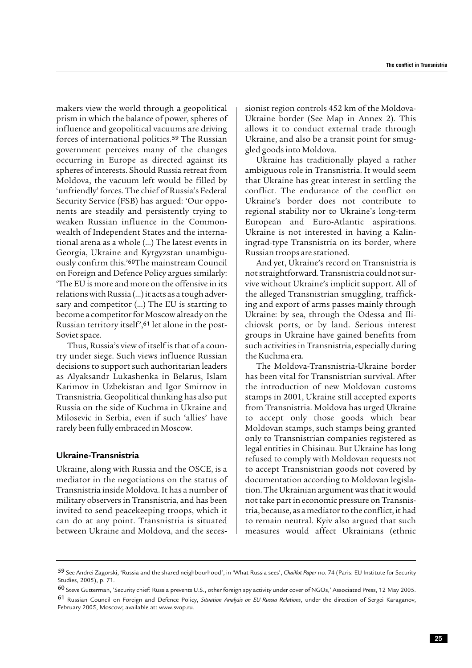makers view the world through a geopolitical prism in which the balance of power, spheres of influence and geopolitical vacuums are driving forces of international politics.<sup>59</sup> The Russian government perceives many of the changes occurring in Europe as directed against its spheres of interests. Should Russia retreat from Moldova, the vacuum left would be filled by 'unfriendly' forces. The chief of Russia's Federal Security Service (FSB) has argued: 'Our opponents are steadily and persistently trying to weaken Russian influence in the Commonwealth of Independent States and the international arena as a whole (…) The latest events in Georgia, Ukraine and Kyrgyzstan unambiguously confirm this.'60The mainstream Council on Foreign and Defence Policy argues similarly: 'The EU is more and more on the offensive in its relations with Russia (…) it acts as a tough adversary and competitor (…) The EU is starting to become a competitor for Moscow already on the Russian territory itself',<sup>61</sup> let alone in the post-Soviet space.

Thus, Russia's view of itself is that of a country under siege. Such views influence Russian decisions to support such authoritarian leaders as Alyaksandr Lukashenka in Belarus, Islam Karimov in Uzbekistan and Igor Smirnov in Transnistria. Geopolitical thinking has also put Russia on the side of Kuchma in Ukraine and Milosevic in Serbia, even if such 'allies' have rarely been fully embraced in Moscow.

#### **Ukraine-Transnistria**

Ukraine, along with Russia and the OSCE, is a mediator in the negotiations on the status of Transnistria inside Moldova. It has a number of military observers in Transnistria, and has been invited to send peacekeeping troops, which it can do at any point. Transnistria is situated between Ukraine and Moldova, and the secessionist region controls 452 km of the Moldova-Ukraine border (See Map in Annex 2). This allows it to conduct external trade through Ukraine, and also be a transit point for smuggled goods into Moldova.

Ukraine has traditionally played a rather ambiguous role in Transnistria. It would seem that Ukraine has great interest in settling the conflict. The endurance of the conflict on Ukraine's border does not contribute to regional stability nor to Ukraine's long-term European and Euro-Atlantic aspirations. Ukraine is not interested in having a Kaliningrad-type Transnistria on its border, where Russian troops are stationed.

And yet, Ukraine's record on Transnistria is not straightforward. Transnistria could not survive without Ukraine's implicit support. All of the alleged Transnistrian smuggling, trafficking and export of arms passes mainly through Ukraine: by sea, through the Odessa and Ilichiovsk ports, or by land. Serious interest groups in Ukraine have gained benefits from such activities in Transnistria, especially during the Kuchma era.

The Moldova-Transnistria-Ukraine border has been vital for Transnistrian survival. After the introduction of new Moldovan customs stamps in 2001, Ukraine still accepted exports from Transnistria. Moldova has urged Ukraine to accept only those goods which bear Moldovan stamps, such stamps being granted only to Transnistrian companies registered as legal entities in Chisinau. But Ukraine has long refused to comply with Moldovan requests not to accept Transnistrian goods not covered by documentation according to Moldovan legislation. The Ukrainian argument was that it would not take part in economic pressure on Transnistria, because, as a mediator to the conflict, it had to remain neutral. Kyiv also argued that such measures would affect Ukrainians (ethnic

<sup>59</sup> See Andrei Zagorski, 'Russia and the shared neighbourhood', in 'What Russia sees', *Chaillot Paper* no. 74 (Paris: EU Institute for Security Studies, 2005), p. 71.

<sup>60</sup> Steve Gutterman, 'Security chief: Russia prevents U.S., other foreign spy activity under cover of NGOs,' Associated Press, 12 May 2005. 61 Russian Council on Foreign and Defence Policy, *Situation Analysis on EU-Russia Relations*, under the direction of Sergei Karaganov, February 2005, Moscow; available at: www.svop.ru.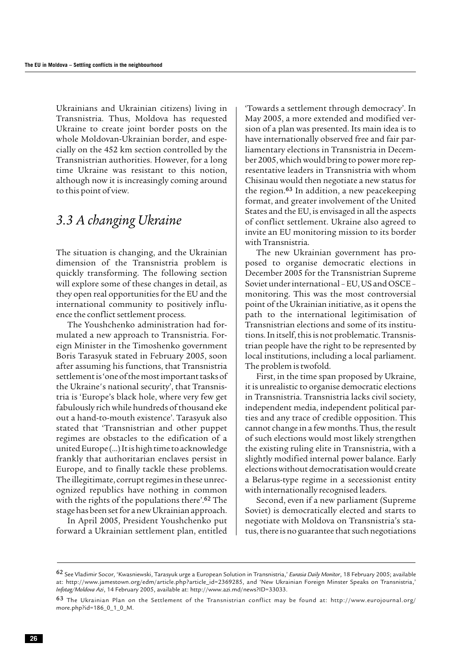<span id="page-27-0"></span>Ukrainians and Ukrainian citizens) living in Transnistria. Thus, Moldova has requested Ukraine to create joint border posts on the whole Moldovan-Ukrainian border, and especially on the 452 km section controlled by the Transnistrian authorities. However, for a long time Ukraine was resistant to this notion, although now it is increasingly coming around to this point of view.

### *3.3 A changing Ukraine*

The situation is changing, and the Ukrainian dimension of the Transnistria problem is quickly transforming. The following section will explore some of these changes in detail, as they open real opportunities for the EU and the international community to positively influence the conflict settlement process.

The Youshchenko administration had formulated a new approach to Transnistria. Foreign Minister in the Timoshenko government Boris Tarasyuk stated in February 2005, soon after assuming his functions, that Transnistria settlement is 'one of the most important tasks of the Ukraine's national security', that Transnistria is 'Europe's black hole, where very few get fabulously rich while hundreds of thousand eke out a hand-to-mouth existence'. Tarasyuk also stated that 'Transnistrian and other puppet regimes are obstacles to the edification of a united Europe (…) It is high time to acknowledge frankly that authoritarian enclaves persist in Europe, and to finally tackle these problems. The illegitimate, corrupt regimes in these unrecognized republics have nothing in common with the rights of the populations there'.<sup>62</sup> The stage has been set for a new Ukrainian approach.

In April 2005, President Youshchenko put forward a Ukrainian settlement plan, entitled 'Towards a settlement through democracy'. In May 2005, a more extended and modified version of a plan was presented. Its main idea is to have internationally observed free and fair parliamentary elections in Transnistria in December 2005, which would bring to power more representative leaders in Transnistria with whom Chisinau would then negotiate a new status for the region.<sup>63</sup> In addition, a new peacekeeping format, and greater involvement of the United States and the EU, is envisaged in all the aspects of conflict settlement. Ukraine also agreed to invite an EU monitoring mission to its border with Transnistria.

The new Ukrainian government has proposed to organise democratic elections in December 2005 for the Transnistrian Supreme Soviet under international – EU, US and OSCE – monitoring. This was the most controversial point of the Ukrainian initiative, as it opens the path to the international legitimisation of Transnistrian elections and some of its institutions. In itself, this is not problematic. Transnistrian people have the right to be represented by local institutions, including a local parliament. The problem is twofold.

First, in the time span proposed by Ukraine, it is unrealistic to organise democratic elections in Transnistria. Transnistria lacks civil society, independent media, independent political parties and any trace of credible opposition. This cannot change in a few months. Thus, the result of such elections would most likely strengthen the existing ruling elite in Transnistria, with a slightly modified internal power balance. Early elections without democratisation would create a Belarus-type regime in a secessionist entity with internationally recognised leaders.

Second, even if a new parliament (Supreme Soviet) is democratically elected and starts to negotiate with Moldova on Transnistria's status, there is no guarantee that such negotiations

<sup>62</sup> See Vladimir Socor, 'Kwasniewski, Tarasyuk urge a European Solution in Transnistria,' *Eurasia Daily Monitor*, 18 February 2005; available at: http://www.jamestown.org/edm/article.php?article\_id=2369285, and 'New Ukrainian Foreign Minster Speaks on Transnistria,' *Infotag/Moldova Azi*, 14 February 2005, available at: http://www.azi.md/news?ID=33033.

<sup>63</sup> The Ukrainian Plan on the Settlement of the Transnistrian conflict may be found at: http://www.eurojournal.org/ more.php?id=186\_0\_1\_0\_M.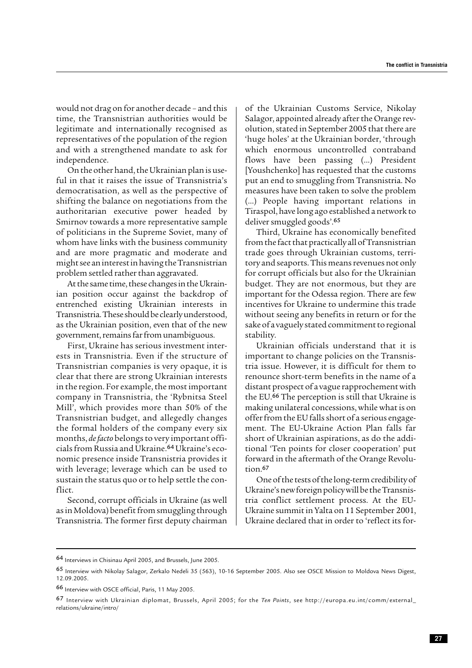would not drag on for another decade – and this time, the Transnistrian authorities would be legitimate and internationally recognised as representatives of the population of the region and with a strengthened mandate to ask for independence.

On the other hand, the Ukrainian plan is useful in that it raises the issue of Transnistria's democratisation, as well as the perspective of shifting the balance on negotiations from the authoritarian executive power headed by Smirnov towards a more representative sample of politicians in the Supreme Soviet, many of whom have links with the business community and are more pragmatic and moderate and might see an interest in having the Transnistrian problem settled rather than aggravated.

At the same time, these changes in the Ukrainian position occur against the backdrop of entrenched existing Ukrainian interests in Transnistria. These should be clearly understood, as the Ukrainian position, even that of the new government, remains far from unambiguous.

First, Ukraine has serious investment interests in Transnistria. Even if the structure of Transnistrian companies is very opaque, it is clear that there are strong Ukrainian interests in the region. For example, the most important company in Transnistria, the 'Rybnitsa Steel Mill', which provides more than 50% of the Transnistrian budget, and allegedly changes the formal holders of the company every six months, *de facto* belongs to very important officials from Russia and Ukraine.<sup>64</sup> Ukraine's economic presence inside Transnistria provides it with leverage; leverage which can be used to sustain the status quo or to help settle the conflict.

Second, corrupt officials in Ukraine (as well as in Moldova) benefit from smuggling through Transnistria. The former first deputy chairman of the Ukrainian Customs Service, Nikolay Salagor, appointed already after the Orange revolution, stated in September 2005 that there are 'huge holes' at the Ukrainian border, 'through which enormous uncontrolled contraband flows have been passing (...) President [Youshchenko] has requested that the customs put an end to smuggling from Transnistria. No measures have been taken to solve the problem (...) People having important relations in Tiraspol, have long ago established a network to deliver smuggled goods'.<sup>65</sup>

Third, Ukraine has economically benefited from the fact that practically all of Transnistrian trade goes through Ukrainian customs, territory and seaports. This means revenues not only for corrupt officials but also for the Ukrainian budget. They are not enormous, but they are important for the Odessa region. There are few incentives for Ukraine to undermine this trade without seeing any benefits in return or for the sake of a vaguely stated commitment to regional stability.

Ukrainian officials understand that it is important to change policies on the Transnistria issue. However, it is difficult for them to renounce short-term benefits in the name of a distant prospect of a vague rapprochement with the EU.<sup>66</sup> The perception is still that Ukraine is making unilateral concessions, while what is on offer from the EU falls short of a serious engagement. The EU-Ukraine Action Plan falls far short of Ukrainian aspirations, as do the additional 'Ten points for closer cooperation' put forward in the aftermath of the Orange Revolution.<sup>67</sup>

One of the tests of the long-term credibility of Ukraine's new foreign policy will be the Transnistria conflict settlement process. At the EU-Ukraine summit in Yalta on 11 September 2001, Ukraine declared that in order to 'reflect its for-

<sup>64</sup> Interviews in Chisinau April 2005, and Brussels, June 2005.

<sup>65</sup> Interview with Nikolay Salagor, Zerkalo Nedeli 35 (563), 10-16 September 2005. Also see OSCE Mission to Moldova News Digest, 12.09.2005.

<sup>66</sup> Interview with OSCE official, Paris, 11 May 2005.

<sup>67</sup> Interview with Ukrainian diplomat, Brussels, April 2005; for the *Ten Points*, see http://europa.eu.int/comm/external\_ relations/ukraine/intro/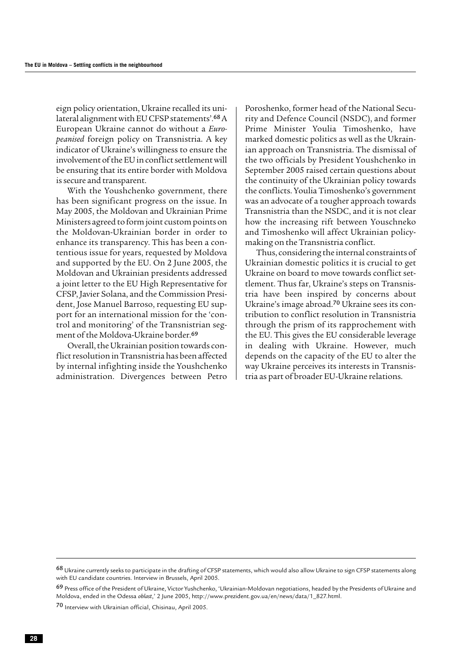eign policy orientation, Ukraine recalled its unilateral alignment with EU CFSP statements'.68A European Ukraine cannot do without a *Europeanised* foreign policy on Transnistria. A key indicator of Ukraine's willingness to ensure the involvement of the EU in conflict settlement will be ensuring that its entire border with Moldova is secure and transparent.

With the Youshchenko government, there has been significant progress on the issue. In May 2005, the Moldovan and Ukrainian Prime Ministers agreed to form joint custom points on the Moldovan-Ukrainian border in order to enhance its transparency. This has been a contentious issue for years, requested by Moldova and supported by the EU. On 2 June 2005, the Moldovan and Ukrainian presidents addressed a joint letter to the EU High Representative for CFSP, Javier Solana, and the Commission President, Jose Manuel Barroso, requesting EU support for an international mission for the 'control and monitoring' of the Transnistrian segment of the Moldova-Ukraine border.<sup>69</sup>

Overall, the Ukrainian position towards conflict resolution in Transnistria has been affected by internal infighting inside the Youshchenko administration. Divergences between Petro

Poroshenko, former head of the National Security and Defence Council (NSDC), and former Prime Minister Youlia Timoshenko, have marked domestic politics as well as the Ukrainian approach on Transnistria. The dismissal of the two officials by President Youshchenko in September 2005 raised certain questions about the continuity of the Ukrainian policy towards the conflicts. Youlia Timoshenko's government was an advocate of a tougher approach towards Transnistria than the NSDC, and it is not clear how the increasing rift between Youschneko and Timoshenko will affect Ukrainian policymaking on the Transnistria conflict.

Thus, considering the internal constraints of Ukrainian domestic politics it is crucial to get Ukraine on board to move towards conflict settlement. Thus far, Ukraine's steps on Transnistria have been inspired by concerns about Ukraine's image abroad.<sup>70</sup> Ukraine sees its contribution to conflict resolution in Transnistria through the prism of its rapprochement with the EU. This gives the EU considerable leverage in dealing with Ukraine. However, much depends on the capacity of the EU to alter the way Ukraine perceives its interests in Transnistria as part of broader EU-Ukraine relations.

70 Interview with Ukrainian official, Chisinau, April 2005.

<sup>68</sup> Ukraine currently seeks to participate in the drafting of CFSP statements, which would also allow Ukraine to sign CFSP statements along with EU candidate countries. Interview in Brussels, April 2005.

<sup>69</sup> Press office of the President of Ukraine, Victor Yushchenko, 'Ukrainian-Moldovan negotiations, headed by the Presidents of Ukraine and Moldova, ended in the Odessa *oblast*,' 2 June 2005, http://www.prezident.gov.ua/en/news/data/1\_827.html.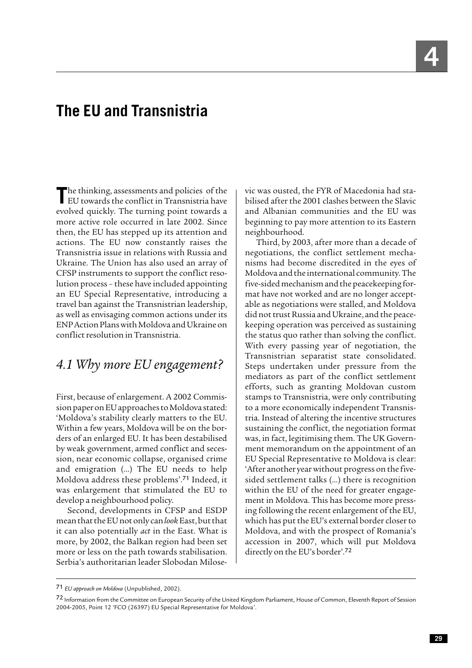### <span id="page-30-0"></span>**The EU and Transnistria**

The thinking, assessments and policies of the EU towards the conflict in Transnistria have evolved quickly. The turning point towards a more active role occurred in late 2002. Since then, the EU has stepped up its attention and actions. The EU now constantly raises the Transnistria issue in relations with Russia and Ukraine. The Union has also used an array of CFSP instruments to support the conflict resolution process – these have included appointing an EU Special Representative, introducing a travel ban against the Transnistrian leadership, as well as envisaging common actions under its ENP Action Plans with Moldova and Ukraine on conflict resolution in Transnistria.

### *4.1 Why more EU engagement?*

First, because of enlargement. A 2002 Commission paper on EU approaches to Moldova stated: 'Moldova's stability clearly matters to the EU. Within a few years, Moldova will be on the borders of an enlarged EU. It has been destabilised by weak government, armed conflict and secession, near economic collapse, organised crime and emigration (…) The EU needs to help Moldova address these problems'.<sup>71</sup> Indeed, it was enlargement that stimulated the EU to develop a neighbourhood policy.

Second, developments in CFSP and ESDP mean that the EU not only can *look*East, but that it can also potentially *act* in the East. What is more, by 2002, the Balkan region had been set more or less on the path towards stabilisation. Serbia's authoritarian leader Slobodan Milosevic was ousted, the FYR of Macedonia had stabilised after the 2001 clashes between the Slavic and Albanian communities and the EU was beginning to pay more attention to its Eastern neighbourhood.

Third, by 2003, after more than a decade of negotiations, the conflict settlement mechanisms had become discredited in the eyes of Moldova and the international community. The five-sided mechanism and the peacekeeping format have not worked and are no longer acceptable as negotiations were stalled, and Moldova did not trust Russia and Ukraine, and the peacekeeping operation was perceived as sustaining the status quo rather than solving the conflict. With every passing year of negotiation, the Transnistrian separatist state consolidated. Steps undertaken under pressure from the mediators as part of the conflict settlement efforts, such as granting Moldovan custom stamps to Transnistria, were only contributing to a more economically independent Transnistria. Instead of altering the incentive structures sustaining the conflict, the negotiation format was, in fact, legitimising them. The UK Government memorandum on the appointment of an EU Special Representative to Moldova is clear: 'After another year without progress on the fivesided settlement talks (…) there is recognition within the EU of the need for greater engagement in Moldova. This has become more pressing following the recent enlargement of the EU, which has put the EU's external border closer to Moldova, and with the prospect of Romania's accession in 2007, which will put Moldova directly on the EU's border'.<sup>72</sup>

<sup>71</sup> *EU approach on Moldova* (Unpublished, 2002).

<sup>72</sup> Information from the Committee on European Security of the United Kingdom Parliament, House of Common, Eleventh Report of Session 2004-2005, Point 12 'FCO (26397) EU Special Representative for Moldova'.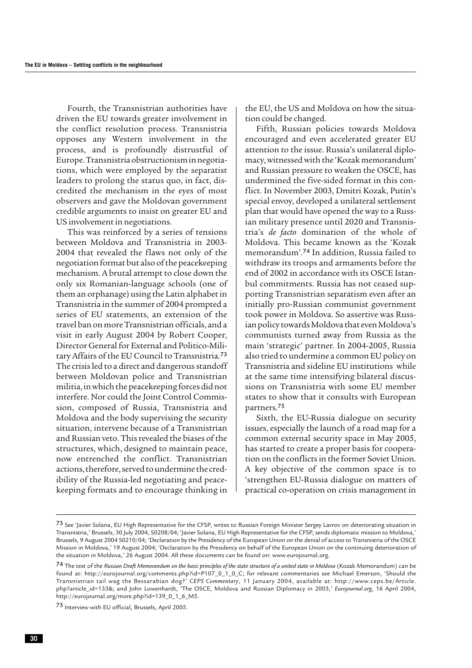Fourth, the Transnistrian authorities have driven the EU towards greater involvement in the conflict resolution process. Transnistria opposes any Western involvement in the process, and is profoundly distrustful of Europe. Transnistria obstructionism in negotiations, which were employed by the separatist leaders to prolong the status quo, in fact, discredited the mechanism in the eyes of most observers and gave the Moldovan government credible arguments to insist on greater EU and US involvement in negotiations.

This was reinforced by a series of tensions between Moldova and Transnistria in 2003- 2004 that revealed the flaws not only of the negotiation format but also of the peacekeeping mechanism. A brutal attempt to close down the only six Romanian-language schools (one of them an orphanage) using the Latin alphabet in Transnistria in the summer of 2004 prompted a series of EU statements, an extension of the travel ban on more Transnistrian officials, and a visit in early August 2004 by Robert Cooper, Director General for External and Politico-Military Affairs of the EU Council to Transnistria.<sup>73</sup> The crisis led to a direct and dangerous standoff between Moldovan police and Transnistrian militia, in which the peacekeeping forces did not interfere. Nor could the Joint Control Commission, composed of Russia, Transnistria and Moldova and the body supervising the security situation, intervene because of a Transnistrian and Russian veto. This revealed the biases of the structures, which, designed to maintain peace, now entrenched the conflict. Transnistrian actions, therefore, served to undermine the credibility of the Russia-led negotiating and peacekeeping formats and to encourage thinking in

the EU, the US and Moldova on how the situation could be changed.

Fifth, Russian policies towards Moldova encouraged and even accelerated greater EU attention to the issue. Russia's unilateral diplomacy, witnessed with the 'Kozak memorandum' and Russian pressure to weaken the OSCE, has undermined the five-sided format in this conflict. In November 2003, Dmitri Kozak, Putin's special envoy, developed a unilateral settlement plan that would have opened the way to a Russian military presence until 2020 and Transnistria's *de facto* domination of the whole of Moldova. This became known as the 'Kozak memorandum'.<sup>74</sup> In addition, Russia failed to withdraw its troops and armaments before the end of 2002 in accordance with its OSCE Istanbul commitments. Russia has not ceased supporting Transnistrian separatism even after an initially pro-Russian communist government took power in Moldova. So assertive was Russian policy towards Moldova that even Moldova's communists turned away from Russia as the main 'strategic' partner. In 2004-2005, Russia also tried to undermine a common EU policy on Transnistria and sideline EU institutions while at the same time intensifying bilateral discussions on Transnistria with some EU member states to show that it consults with European partners.<sup>75</sup>

Sixth, the EU-Russia dialogue on security issues, especially the launch of a road map for a common external security space in May 2005, has started to create a proper basis for cooperation on the conflicts in the former Soviet Union. A key objective of the common space is to 'strengthen EU-Russia dialogue on matters of practical co-operation on crisis management in

75 Interview with EU official, Brussels, April 2005.

<sup>73</sup> See 'Javier Solana, EU High Representative for the CFSP, writes to Russian Foreign Minister Sergey Lavrov on deteriorating situation in Transnistria,' Brussels, 30 July 2004, S0208/04; 'Javier Solana, EU High Representative for the CFSP, sends diplomatic mission to Moldova,' Brussels, 9 August 2004 S0210/04; 'Declaration by the Presidency of the European Union on the denial of access to Transnistria of the OSCE Mission in Moldova,' 19 August 2004; 'Declaration by the Presidency on behalf of the European Union on the continuing deterioration of the situation in Moldova,' 26 August 2004. All these documents can be found on: www.eurojournal.org.

<sup>74</sup> The text of the *Russian Draft Memorandum on the basic principles of the state structure of a united state in Moldova* (Kozak Memorandum) can be found at: http://eurojournal.org/comments.php?id=P107\_0\_1\_0\_C; for relevant commentaries see Michael Emerson, 'Should the Transnistrian tail wag the Bessarabian dog?' *CEPS Commentary*, 11 January 2004, available at: http://www.ceps.be/Article. php?article\_id=133&; and John Lowenhardt, 'The OSCE, Moldova and Russian Diplomacy in 2003,' *Eurojournal.org*, 16 April 2004, http://eurojournal.org/more.php?id=139\_0\_1\_6\_M5.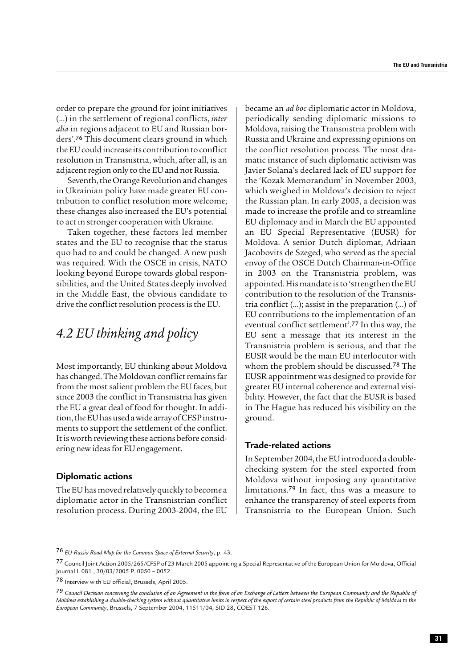<span id="page-32-0"></span>order to prepare the ground for joint initiatives (…) in the settlement of regional conflicts, *inter alia* in regions adjacent to EU and Russian borders'.<sup>76</sup> This document clears ground in which the EU could increase its contribution to conflict resolution in Transnistria, which, after all, is an adjacent region only to the EU and not Russia.

Seventh, the Orange Revolution and changes in Ukrainian policy have made greater EU contribution to conflict resolution more welcome; these changes also increased the EU's potential to act in stronger cooperation with Ukraine.

Taken together, these factors led member states and the EU to recognise that the status quo had to and could be changed. A new push was required. With the OSCE in crisis, NATO looking beyond Europe towards global responsibilities, and the United States deeply involved in the Middle East, the obvious candidate to drive the conflict resolution process is the EU.

### *4.2 EU thinking and policy*

Most importantly, EU thinking about Moldova has changed. The Moldovan conflict remains far from the most salient problem the EU faces, but since 2003 the conflict in Transnistria has given the EU a great deal of food for thought. In addition, the EU has used a wide array of CFSP instruments to support the settlement of the conflict. It is worth reviewing these actions before considering new ideas for EU engagement.

#### **Diplomatic actions**

The EU has moved relatively quickly to become a diplomatic actor in the Transnistrian conflict resolution process. During 2003-2004, the EU became an *ad hoc* diplomatic actor in Moldova, periodically sending diplomatic missions to Moldova, raising the Transnistria problem with Russia and Ukraine and expressing opinions on the conflict resolution process. The most dramatic instance of such diplomatic activism was Javier Solana's declared lack of EU support for the 'Kozak Memorandum' in November 2003, which weighed in Moldova's decision to reject the Russian plan. In early 2005, a decision was made to increase the profile and to streamline EU diplomacy and in March the EU appointed an EU Special Representative (EUSR) for Moldova. A senior Dutch diplomat, Adriaan Jacobovits de Szeged, who served as the special envoy of the OSCE Dutch Chairman-in-Office in 2003 on the Transnistria problem, was appointed. His mandate is to 'strengthen the EU contribution to the resolution of the Transnistria conflict (…); assist in the preparation (…) of EU contributions to the implementation of an eventual conflict settlement'.<sup>77</sup> In this way, the EU sent a message that its interest in the Transnistria problem is serious, and that the EUSR would be the main EU interlocutor with whom the problem should be discussed.<sup>78</sup> The EUSR appointment was designed to provide for greater EU internal coherence and external visibility. However, the fact that the EUSR is based in The Hague has reduced his visibility on the ground.

#### **Trade-related actions**

In September 2004, the EU introduced a doublechecking system for the steel exported from Moldova without imposing any quantitative limitations.<sup>79</sup> In fact, this was a measure to enhance the transparency of steel exports from Transnistria to the European Union. Such

<sup>76</sup> *EU-Russia Road Map for the Common Space of External Security*, p. 43.

<sup>77</sup> Council Joint Action 2005/265/CFSP of 23 March 2005 appointing a Special Representative of the European Union for Moldova, Official Journal L 081 , 30/03/2005 P. 0050 – 0052.

<sup>78</sup> Interview with EU official, Brussels, April 2005.

<sup>79</sup> *Council Decision concerning the conclusion of an Agreement in the form of an Exchange of Letters between the European Community and the Republic of Moldova establishing a double-checking system without quantitative limits in respect of the export of certain steel products from the Republic of Moldova to the European Community*, Brussels, 7 September 2004, 11511/04, SID 28, COEST 126.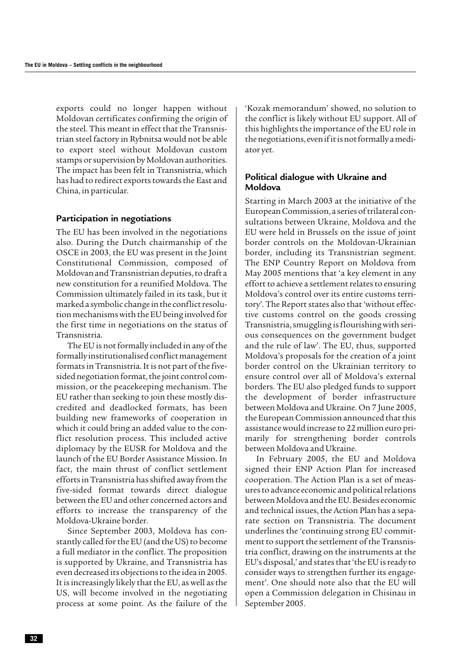exports could no longer happen without Moldovan certificates confirming the origin of the steel. This meant in effect that the Transnistrian steel factory in Rybnitsa would not be able to export steel without Moldovan custom stamps or supervision by Moldovan authorities. The impact has been felt in Transnistria, which has had to redirect exports towards the East and China, in particular.

#### **Participation in negotiations**

The EU has been involved in the negotiations also. During the Dutch chairmanship of the OSCE in 2003, the EU was present in the Joint Constitutional Commission, composed of Moldovan and Transnistrian deputies, to draft a new constitution for a reunified Moldova. The Commission ultimately failed in its task, but it marked a symbolic change in the conflict resolution mechanisms with the EU being involved for the first time in negotiations on the status of Transnistria.

The EU is not formally included in any of the formally institutionalised conflict management formats in Transnistria. It is not part of the fivesided negotiation format, the joint control commission, or the peacekeeping mechanism. The EU rather than seeking to join these mostly discredited and deadlocked formats, has been building new frameworks of cooperation in which it could bring an added value to the conflict resolution process. This included active diplomacy by the EUSR for Moldova and the launch of the EU Border Assistance Mission. In fact, the main thrust of conflict settlement efforts in Transnistria has shifted away from the five-sided format towards direct dialogue between the EU and other concerned actors and efforts to increase the transparency of the Moldova-Ukraine border.

Since September 2003, Moldova has constantly called for the EU (and the US) to become a full mediator in the conflict. The proposition is supported by Ukraine, and Transnistria has even decreased its objections to the idea in 2005. It is increasingly likely that the EU, as well as the US, will become involved in the negotiating process at some point. As the failure of the 'Kozak memorandum' showed, no solution to the conflict is likely without EU support. All of this highlights the importance of the EU role in the negotiations, even if it is not formally a mediator yet.

#### **Political dialogue with Ukraine and Moldova**

Starting in March 2003 at the initiative of the European Commission, a series of trilateral consultations between Ukraine, Moldova and the EU were held in Brussels on the issue of joint border controls on the Moldovan-Ukrainian border, including its Transnistrian segment. The ENP Country Report on Moldova from May 2005 mentions that 'a key element in any effort to achieve a settlement relates to ensuring Moldova's control over its entire customs territory'. The Report states also that 'without effective customs control on the goods crossing Transnistria, smuggling is flourishing with serious consequences on the government budget and the rule of law'. The EU, thus, supported Moldova's proposals for the creation of a joint border control on the Ukrainian territory to ensure control over all of Moldova's external borders. The EU also pledged funds to support the development of border infrastructure between Moldova and Ukraine. On 7 June 2005, the European Commission announced that this assistance would increase to 22 million euro primarily for strengthening border controls between Moldova and Ukraine.

In February 2005, the EU and Moldova signed their ENP Action Plan for increased cooperation. The Action Plan is a set of measures to advance economic and political relations between Moldova and the EU. Besides economic and technical issues, the Action Plan has a separate section on Transnistria. The document underlines the 'continuing strong EU commitment to support the settlement of the Transnistria conflict, drawing on the instruments at the EU's disposal,' and states that 'the EU is ready to consider ways to strengthen further its engagement'. One should note also that the EU will open a Commission delegation in Chisinau in September 2005.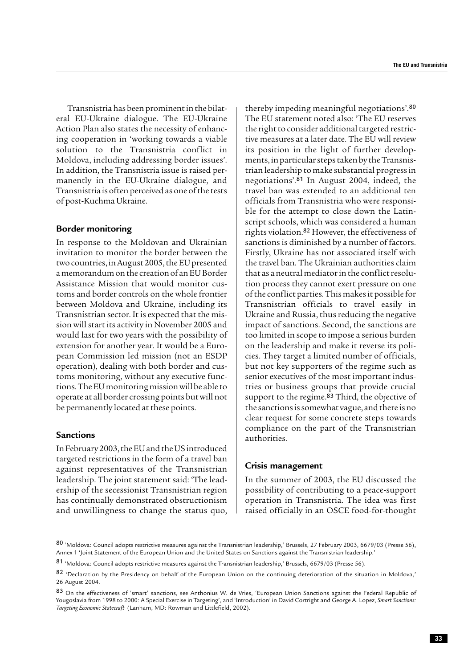Transnistria has been prominent in the bilateral EU-Ukraine dialogue. The EU-Ukraine Action Plan also states the necessity of enhancing cooperation in 'working towards a viable solution to the Transnistria conflict in Moldova, including addressing border issues'. In addition, the Transnistria issue is raised permanently in the EU-Ukraine dialogue, and Transnistria is often perceived as one of the tests of post-Kuchma Ukraine.

#### **Border monitoring**

In response to the Moldovan and Ukrainian invitation to monitor the border between the two countries, in August 2005, the EU presented a memorandum on the creation of an EU Border Assistance Mission that would monitor customs and border controls on the whole frontier between Moldova and Ukraine, including its Transnistrian sector. It is expected that the mission will start its activity in November 2005 and would last for two years with the possibility of extension for another year. It would be a European Commission led mission (not an ESDP operation), dealing with both border and customs monitoring, without any executive functions. The EU monitoring mission will be able to operate at all border crossing points but will not be permanently located at these points.

#### **Sanctions**

In February 2003, the EU and the US introduced targeted restrictions in the form of a travel ban against representatives of the Transnistrian leadership. The joint statement said: 'The leadership of the secessionist Transnistrian region has continually demonstrated obstructionism and unwillingness to change the status quo, thereby impeding meaningful negotiations'.<sup>80</sup> The EU statement noted also: 'The EU reserves the right to consider additional targeted restrictive measures at a later date. The EU will review its position in the light of further developments, in particular steps taken by the Transnistrian leadership to make substantial progress in negotiations'.<sup>81</sup> In August 2004, indeed, the travel ban was extended to an additional ten officials from Transnistria who were responsible for the attempt to close down the Latinscript schools, which was considered a human rights violation.<sup>82</sup> However, the effectiveness of sanctions is diminished by a number of factors. Firstly, Ukraine has not associated itself with the travel ban. The Ukrainian authorities claim that as a neutral mediator in the conflict resolution process they cannot exert pressure on one of the conflict parties. This makes it possible for Transnistrian officials to travel easily in Ukraine and Russia, thus reducing the negative impact of sanctions. Second, the sanctions are too limited in scope to impose a serious burden on the leadership and make it reverse its policies. They target a limited number of officials, but not key supporters of the regime such as senior executives of the most important industries or business groups that provide crucial support to the regime.<sup>83</sup> Third, the objective of the sanctions is somewhat vague, and there is no clear request for some concrete steps towards compliance on the part of the Transnistrian authorities.

#### **Crisis management**

In the summer of 2003, the EU discussed the possibility of contributing to a peace-support operation in Transnistria. The idea was first raised officially in an OSCE food-for-thought

<sup>80</sup> 'Moldova: Council adopts restrictive measures against the Transnistrian leadership,' Brussels, 27 February 2003, 6679/03 (Presse 56), Annex 1 'Joint Statement of the European Union and the United States on Sanctions against the Transnistrian leadership.'

<sup>81</sup> 'Moldova: Council adopts restrictive measures against the Transnistrian leadership,' Brussels, 6679/03 (Presse 56).

<sup>82 &#</sup>x27;Declaration by the Presidency on behalf of the European Union on the continuing deterioration of the situation in Moldova,' 26 August 2004.

<sup>83</sup> On the effectiveness of 'smart' sanctions, see Anthonius W. de Vries, 'European Union Sanctions against the Federal Republic of Yougoslavia from 1998 to 2000: A Special Exercise in Targeting', and 'Introduction' in David Cortright and George A. Lopez, Smart Sanctions: *Targeting Economic Statecraft* (Lanham, MD: Rowman and Littlefield, 2002).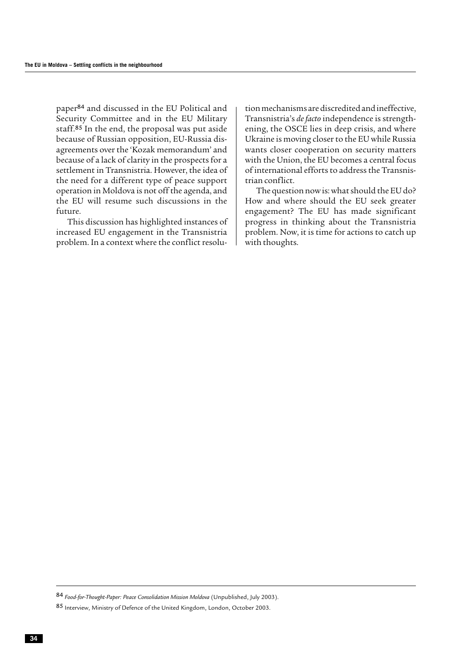paper<sup>84</sup> and discussed in the EU Political and Security Committee and in the EU Military staff.<sup>85</sup> In the end, the proposal was put aside because of Russian opposition, EU-Russia disagreements over the 'Kozak memorandum' and because of a lack of clarity in the prospects for a settlement in Transnistria. However, the idea of the need for a different type of peace support operation in Moldova is not off the agenda, and the EU will resume such discussions in the future.

This discussion has highlighted instances of increased EU engagement in the Transnistria problem. In a context where the conflict resolution mechanisms are discredited and ineffective, Transnistria's *de facto* independence is strengthening, the OSCE lies in deep crisis, and where Ukraine is moving closer to the EU while Russia wants closer cooperation on security matters with the Union, the EU becomes a central focus of international efforts to address the Transnistrian conflict.

The question now is: what should the EU do? How and where should the EU seek greater engagement? The EU has made significant progress in thinking about the Transnistria problem. Now, it is time for actions to catch up with thoughts.

<sup>84</sup> *Food-for-Thought-Paper: Peace Consolidation Mission Moldova* (Unpublished, July 2003).

<sup>85</sup> Interview, Ministry of Defence of the United Kingdom, London, October 2003.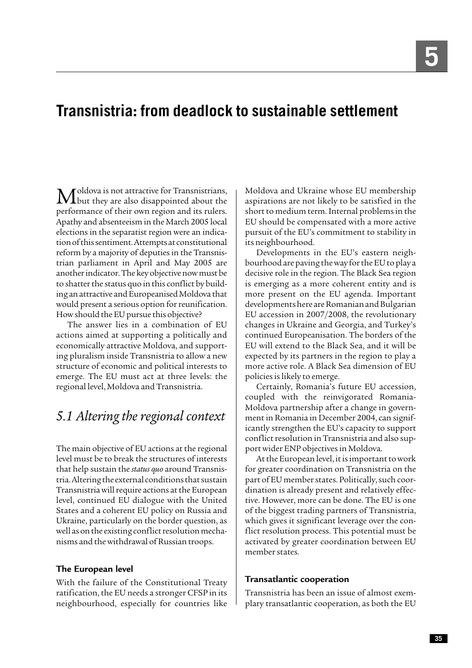### <span id="page-36-0"></span>**Transnistria: from deadlock to sustainable settlement**

**M**oldova is not attractive for Transnistrians, performance of their own region and its rulers. Apathy and absenteeism in the March 2005 local elections in the separatist region were an indication of this sentiment. Attempts at constitutional reform by a majority of deputies in the Transnistrian parliament in April and May 2005 are another indicator. The key objective now must be to shatter the status quo in this conflict by building an attractive and Europeanised Moldova that would present a serious option for reunification. How should the EU pursue this objective?

The answer lies in a combination of EU actions aimed at supporting a politically and economically attractive Moldova, and supporting pluralism inside Transnistria to allow a new structure of economic and political interests to emerge. The EU must act at three levels: the regional level, Moldova and Transnistria.

### *5.1 Altering the regional context*

The main objective of EU actions at the regional level must be to break the structures of interests that help sustain the *status quo* around Transnistria. Altering the external conditions that sustain Transnistria will require actions at the European level, continued EU dialogue with the United States and a coherent EU policy on Russia and Ukraine, particularly on the border question, as well as on the existing conflict resolution mechanisms and the withdrawal of Russian troops.

#### **The European level**

With the failure of the Constitutional Treaty ratification, the EU needs a stronger CFSP in its neighbourhood, especially for countries like Moldova and Ukraine whose EU membership aspirations are not likely to be satisfied in the short to medium term. Internal problems in the EU should be compensated with a more active pursuit of the EU's commitment to stability in its neighbourhood.

Developments in the EU's eastern neighbourhood are paving the way for the EU to play a decisive role in the region. The Black Sea region is emerging as a more coherent entity and is more present on the EU agenda. Important developments here are Romanian and Bulgarian EU accession in 2007/2008, the revolutionary changes in Ukraine and Georgia, and Turkey's continued Europeanisation. The borders of the EU will extend to the Black Sea, and it will be expected by its partners in the region to play a more active role. A Black Sea dimension of EU policies is likely to emerge.

Certainly, Romania's future EU accession, coupled with the reinvigorated Romania-Moldova partnership after a change in government in Romania in December 2004, can significantly strengthen the EU's capacity to support conflict resolution in Transnistria and also support wider ENP objectives in Moldova.

At the European level, it is important to work for greater coordination on Transnistria on the part of EU member states. Politically, such coordination is already present and relatively effective. However, more can be done. The EU is one of the biggest trading partners of Transnistria, which gives it significant leverage over the conflict resolution process. This potential must be activated by greater coordination between EU member states.

#### **Transatlantic cooperation**

Transnistria has been an issue of almost exemplary transatlantic cooperation, as both the EU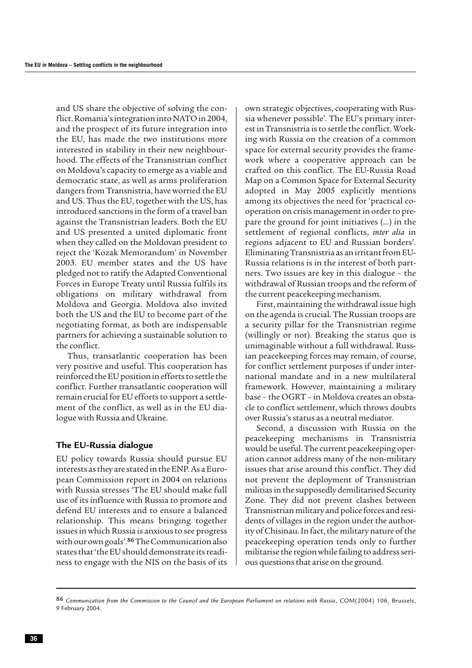and US share the objective of solving the conflict. Romania's integration into NATO in 2004, and the prospect of its future integration into the EU, has made the two institutions more interested in stability in their new neighbourhood. The effects of the Transnistrian conflict on Moldova's capacity to emerge as a viable and democratic state, as well as arms proliferation dangers from Transnistria, have worried the EU and US. Thus the EU, together with the US, has introduced sanctions in the form of a travel ban against the Transnistrian leaders. Both the EU and US presented a united diplomatic front when they called on the Moldovan president to reject the 'Kozak Memorandum' in November 2003. EU member states and the US have pledged not to ratify the Adapted Conventional Forces in Europe Treaty until Russia fulfils its obligations on military withdrawal from Moldova and Georgia. Moldova also invited both the US and the EU to become part of the negotiating format, as both are indispensable partners for achieving a sustainable solution to the conflict.

Thus, transatlantic cooperation has been very positive and useful. This cooperation has reinforced the EU position in efforts to settle the conflict. Further transatlantic cooperation will remain crucial for EU efforts to support a settlement of the conflict, as well as in the EU dialogue with Russia and Ukraine.

#### **The EU-Russia dialogue**

EU policy towards Russia should pursue EU interests as they are stated in the ENP. As a European Commission report in 2004 on relations with Russia stresses 'The EU should make full use of its influence with Russia to promote and defend EU interests and to ensure a balanced relationship. This means bringing together issues in which Russia is anxious to see progress with our own goals'.86The Communication also states that 'the EU should demonstrate its readiness to engage with the NIS on the basis of its own strategic objectives, cooperating with Russia whenever possible'. The EU's primary interest in Transnistria is to settle the conflict. Working with Russia on the creation of a common space for external security provides the framework where a cooperative approach can be crafted on this conflict. The EU-Russia Road Map on a Common Space for External Security adopted in May 2005 explicitly mentions among its objectives the need for 'practical cooperation on crisis management in order to prepare the ground for joint initiatives (…) in the settlement of regional conflicts, *inter alia* in regions adjacent to EU and Russian borders'. Eliminating Transnistria as an irritant from EU-Russia relations is in the interest of both partners. Two issues are key in this dialogue – the withdrawal of Russian troops and the reform of the current peacekeeping mechanism.

First, maintaining the withdrawal issue high on the agenda is crucial. The Russian troops are a security pillar for the Transnistrian regime (willingly or not). Breaking the status quo is unimaginable without a full withdrawal. Russian peacekeeping forces may remain, of course, for conflict settlement purposes if under international mandate and in a new multilateral framework. However, maintaining a military base – the OGRT – in Moldova creates an obstacle to conflict settlement, which throws doubts over Russia's status as a neutral mediator.

Second, a discussion with Russia on the peacekeeping mechanisms in Transnistria would be useful. The current peacekeeping operation cannot address many of the non-military issues that arise around this conflict. They did not prevent the deployment of Transnistrian militias in the supposedly demilitarised Security Zone. They did not prevent clashes between Transnistrian military and police forces and residents of villages in the region under the authority of Chisinau. In fact, the military nature of the peacekeeping operation tends only to further militarise the region while failing to address serious questions that arise on the ground.

<sup>86</sup> *Communication from the Commission to the Council and the European Parliament on relations with Russia*, COM(2004) 106, Brussels, 9 February 2004.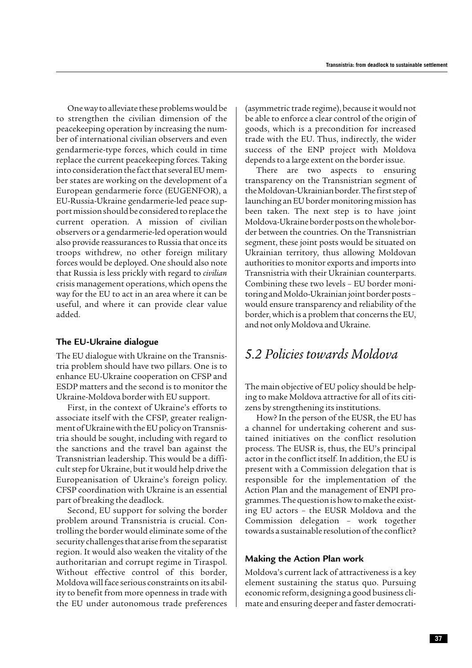<span id="page-38-0"></span>One way to alleviate these problems would be to strengthen the civilian dimension of the peacekeeping operation by increasing the number of international civilian observers and even gendarmerie-type forces, which could in time replace the current peacekeeping forces. Taking into consideration the fact that several EU member states are working on the development of a European gendarmerie force (EUGENFOR), a EU-Russia-Ukraine gendarmerie-led peace support mission should be considered to replace the current operation. A mission of civilian observers or a gendarmerie-led operation would also provide reassurances to Russia that once its troops withdrew, no other foreign military forces would be deployed. One should also note that Russia is less prickly with regard to *civilian* crisis management operations, which opens the way for the EU to act in an area where it can be useful, and where it can provide clear value added.

#### **The EU-Ukraine dialogue**

The EU dialogue with Ukraine on the Transnistria problem should have two pillars. One is to enhance EU-Ukraine cooperation on CFSP and ESDP matters and the second is to monitor the Ukraine-Moldova border with EU support.

First, in the context of Ukraine's efforts to associate itself with the CFSP, greater realignment of Ukraine with the EU policy on Transnistria should be sought, including with regard to the sanctions and the travel ban against the Transnistrian leadership. This would be a difficult step for Ukraine, but it would help drive the Europeanisation of Ukraine's foreign policy. CFSP coordination with Ukraine is an essential part of breaking the deadlock.

Second, EU support for solving the border problem around Transnistria is crucial. Controlling the border would eliminate some of the security challenges that arise from the separatist region. It would also weaken the vitality of the authoritarian and corrupt regime in Tiraspol. Without effective control of this border, Moldova will face serious constraints on its ability to benefit from more openness in trade with the EU under autonomous trade preferences

(asymmetric trade regime), because it would not be able to enforce a clear control of the origin of goods, which is a precondition for increased trade with the EU. Thus, indirectly, the wider success of the ENP project with Moldova depends to a large extent on the border issue.

There are two aspects to ensuring transparency on the Transnistrian segment of the Moldovan-Ukrainian border. The first step of launching an EU border monitoring mission has been taken. The next step is to have joint Moldova-Ukraine border posts on the whole border between the countries. On the Transnistrian segment, these joint posts would be situated on Ukrainian territory, thus allowing Moldovan authorities to monitor exports and imports into Transnistria with their Ukrainian counterparts. Combining these two levels – EU border monitoring and Moldo-Ukrainian joint border posts – would ensure transparency and reliability of the border, which is a problem that concerns the EU, and not only Moldova and Ukraine.

### *5.2 Policies towards Moldova*

The main objective of EU policy should be helping to make Moldova attractive for all of its citizens by strengthening its institutions.

How? In the person of the EUSR, the EU has a channel for undertaking coherent and sustained initiatives on the conflict resolution process. The EUSR is, thus, the EU's principal actor in the conflict itself. In addition, the EU is present with a Commission delegation that is responsible for the implementation of the Action Plan and the management of ENPI programmes. The question is how to make the existing EU actors – the EUSR Moldova and the Commission delegation – work together towards a sustainable resolution of the conflict?

#### **Making the Action Plan work**

Moldova's current lack of attractiveness is a key element sustaining the status quo. Pursuing economic reform, designing a good business climate and ensuring deeper and faster democrati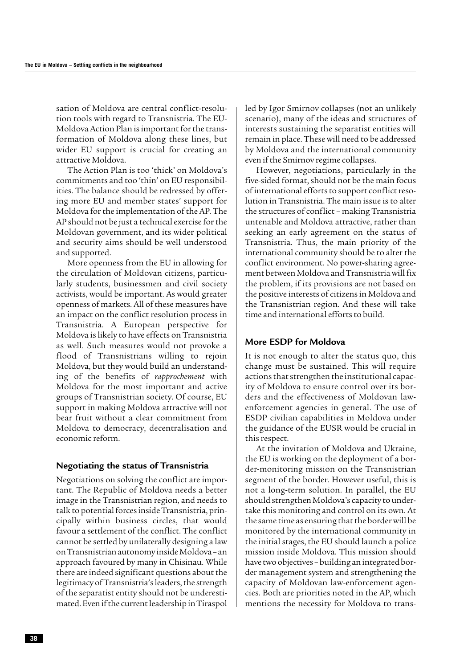sation of Moldova are central conflict-resolution tools with regard to Transnistria. The EU-Moldova Action Plan is important for the transformation of Moldova along these lines, but wider EU support is crucial for creating an attractive Moldova.

The Action Plan is too 'thick' on Moldova's commitments and too 'thin' on EU responsibilities. The balance should be redressed by offering more EU and member states' support for Moldova for the implementation of the AP. The AP should not be just a technical exercise for the Moldovan government, and its wider political and security aims should be well understood and supported.

More openness from the EU in allowing for the circulation of Moldovan citizens, particularly students, businessmen and civil society activists, would be important. As would greater openness of markets. All of these measures have an impact on the conflict resolution process in Transnistria. A European perspective for Moldova is likely to have effects on Transnistria as well. Such measures would not provoke a flood of Transnistrians willing to rejoin Moldova, but they would build an understanding of the benefits of *rapprochement* with Moldova for the most important and active groups of Transnistrian society. Of course, EU support in making Moldova attractive will not bear fruit without a clear commitment from Moldova to democracy, decentralisation and economic reform.

#### **Negotiating the status of Transnistria**

Negotiations on solving the conflict are important. The Republic of Moldova needs a better image in the Transnistrian region, and needs to talk to potential forces inside Transnistria, principally within business circles, that would favour a settlement of the conflict. The conflict cannot be settled by unilaterally designing a law on Transnistrian autonomy inside Moldova – an approach favoured by many in Chisinau. While there are indeed significant questions about the legitimacy of Transnistria's leaders, the strength of the separatist entity should not be underestimated. Even if the current leadership in Tiraspol led by Igor Smirnov collapses (not an unlikely scenario), many of the ideas and structures of interests sustaining the separatist entities will remain in place. These will need to be addressed by Moldova and the international community even if the Smirnov regime collapses.

However, negotiations, particularly in the five-sided format, should not be the main focus of international efforts to support conflict resolution in Transnistria. The main issue is to alter the structures of conflict – making Transnistria untenable and Moldova attractive, rather than seeking an early agreement on the status of Transnistria. Thus, the main priority of the international community should be to alter the conflict environment. No power-sharing agreement between Moldova and Transnistria will fix the problem, if its provisions are not based on the positive interests of citizens in Moldova and the Transnistrian region. And these will take time and international efforts to build.

#### **More ESDP for Moldova**

It is not enough to alter the status quo, this change must be sustained. This will require actions that strengthen the institutional capacity of Moldova to ensure control over its borders and the effectiveness of Moldovan lawenforcement agencies in general. The use of ESDP civilian capabilities in Moldova under the guidance of the EUSR would be crucial in this respect.

At the invitation of Moldova and Ukraine, the EU is working on the deployment of a border-monitoring mission on the Transnistrian segment of the border. However useful, this is not a long-term solution. In parallel, the EU should strengthen Moldova's capacity to undertake this monitoring and control on its own. At the same time as ensuring that the border will be monitored by the international community in the initial stages, the EU should launch a police mission inside Moldova. This mission should have two objectives – building an integrated border management system and strengthening the capacity of Moldovan law-enforcement agencies. Both are priorities noted in the AP, which mentions the necessity for Moldova to trans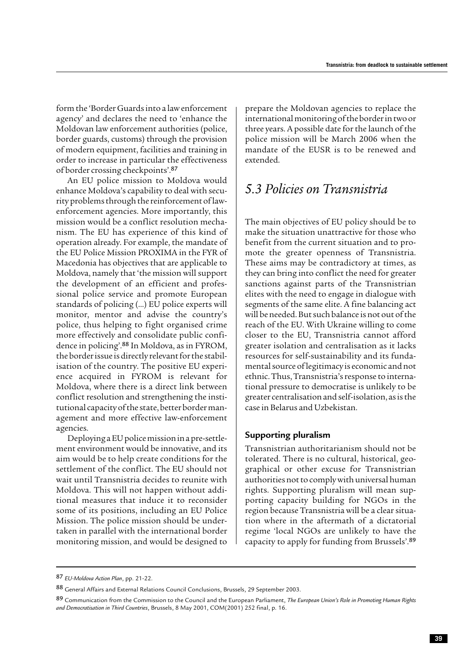<span id="page-40-0"></span>form the 'Border Guards into a law enforcement agency' and declares the need to 'enhance the Moldovan law enforcement authorities (police, border guards, customs) through the provision of modern equipment, facilities and training in order to increase in particular the effectiveness of border crossing checkpoints'.<sup>87</sup>

An EU police mission to Moldova would enhance Moldova's capability to deal with security problems through the reinforcement of lawenforcement agencies. More importantly, this mission would be a conflict resolution mechanism. The EU has experience of this kind of operation already. For example, the mandate of the EU Police Mission PROXIMA in the FYR of Macedonia has objectives that are applicable to Moldova, namely that 'the mission will support the development of an efficient and professional police service and promote European standards of policing (…) EU police experts will monitor, mentor and advise the country's police, thus helping to fight organised crime more effectively and consolidate public confidence in policing'.<sup>88</sup> In Moldova, as in FYROM, the border issue is directly relevant for the stabilisation of the country. The positive EU experience acquired in FYROM is relevant for Moldova, where there is a direct link between conflict resolution and strengthening the institutional capacity of the state, better border management and more effective law-enforcement agencies.

Deploying a EU police mission in a pre-settlement environment would be innovative, and its aim would be to help create conditions for the settlement of the conflict. The EU should not wait until Transnistria decides to reunite with Moldova. This will not happen without additional measures that induce it to reconsider some of its positions, including an EU Police Mission. The police mission should be undertaken in parallel with the international border monitoring mission, and would be designed to prepare the Moldovan agencies to replace the international monitoring of the border in two or three years. A possible date for the launch of the police mission will be March 2006 when the mandate of the EUSR is to be renewed and extended.

### *5.3 Policies on Transnistria*

The main objectives of EU policy should be to make the situation unattractive for those who benefit from the current situation and to promote the greater openness of Transnistria. These aims may be contradictory at times, as they can bring into conflict the need for greater sanctions against parts of the Transnistrian elites with the need to engage in dialogue with segments of the same elite. A fine balancing act will be needed. But such balance is not out of the reach of the EU. With Ukraine willing to come closer to the EU, Transnistria cannot afford greater isolation and centralisation as it lacks resources for self-sustainability and its fundamental source of legitimacy is economic and not ethnic. Thus, Transnistria's response to international pressure to democratise is unlikely to be greater centralisation and self-isolation, as is the case in Belarus and Uzbekistan.

#### **Supporting pluralism**

Transnistrian authoritarianism should not be tolerated. There is no cultural, historical, geographical or other excuse for Transnistrian authorities not to comply with universal human rights. Supporting pluralism will mean supporting capacity building for NGOs in the region because Transnistria will be a clear situation where in the aftermath of a dictatorial regime 'local NGOs are unlikely to have the capacity to apply for funding from Brussels'.<sup>89</sup>

<sup>87</sup> *EU-Moldova Action Plan*, pp. 21-22.

<sup>88</sup> General Affairs and External Relations Council Conclusions, Brussels, 29 September 2003.

<sup>89</sup> Communication from the Commission to the Council and the European Parliament, *The European Union's Role in Promoting Human Rights and Democratisation in Third Countries*, Brussels, 8 May 2001, COM(2001) 252 final, p. 16.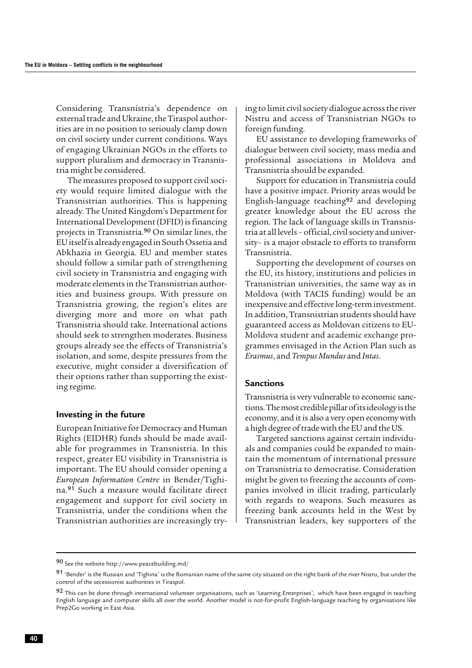Considering Transnistria's dependence on external trade and Ukraine, the Tiraspol authorities are in no position to seriously clamp down on civil society under current conditions. Ways of engaging Ukrainian NGOs in the efforts to support pluralism and democracy in Transnistria might be considered.

The measures proposed to support civil society would require limited dialogue with the Transnistrian authorities. This is happening already. The United Kingdom's Department for International Development (DFID) is financing projects in Transnistria.<sup>90</sup> On similar lines, the EU itself is already engaged in South Ossetia and Abkhazia in Georgia. EU and member states should follow a similar path of strengthening civil society in Transnistria and engaging with moderate elements in the Transnistrian authorities and business groups. With pressure on Transnistria growing, the region's elites are diverging more and more on what path Transnistria should take. International actions should seek to strengthen moderates. Business groups already see the effects of Transnistria's isolation, and some, despite pressures from the executive, might consider a diversification of their options rather than supporting the existing regime.

#### **Investing in the future**

European Initiative for Democracy and Human Rights (EIDHR) funds should be made available for programmes in Transnistria. In this respect, greater EU visibility in Transnistria is important. The EU should consider opening a *European Information Centre* in Bender/Tighina.<sup>91</sup> Such a measure would facilitate direct engagement and support for civil society in Transnistria, under the conditions when the Transnistrian authorities are increasingly trying to limit civil society dialogue across the river Nistru and access of Transnistrian NGOs to foreign funding.

EU assistance to developing frameworks of dialogue between civil society, mass media and professional associations in Moldova and Transnistria should be expanded.

Support for education in Transnistria could have a positive impact. Priority areas would be English-language teaching<sup>92</sup> and developing greater knowledge about the EU across the region. The lack of language skills in Transnistria at all levels – official, civil society and university– is a major obstacle to efforts to transform Transnistria.

Supporting the development of courses on the EU, its history, institutions and policies in Transnistrian universities, the same way as in Moldova (with TACIS funding) would be an inexpensive and effective long-term investment. In addition, Transnistrian students should have guaranteed access as Moldovan citizens to EU-Moldova student and academic exchange programmes envisaged in the Action Plan such as *Erasmus*, and *Tempus Mundus* and *Intas*.

#### **Sanctions**

Transnistria is very vulnerable to economic sanctions. The most credible pillar of its ideology is the economy, and it is also a very open economy with a high degree of trade with the EU and the US.

Targeted sanctions against certain individuals and companies could be expanded to maintain the momentum of international pressure on Transnistria to democratise. Consideration might be given to freezing the accounts of companies involved in illicit trading, particularly with regards to weapons. Such measures as freezing bank accounts held in the West by Transnistrian leaders, key supporters of the

<sup>90</sup> See the website http://www.peacebuilding.md/

<sup>91</sup> 'Bender' is the Russian and 'Tighina' is the Romanian name of the same city situated on the right bank of the river Nistru, but under the control of the secessionist authorities in Tiraspol.

<sup>92</sup> This can be done through international volunteer organisations, such as 'Learning Enterprises', which have been engaged in teaching English language and computer skills all over the world. Another model is not-for-profit English-language teaching by organisations like Prep2Go working in East Asia.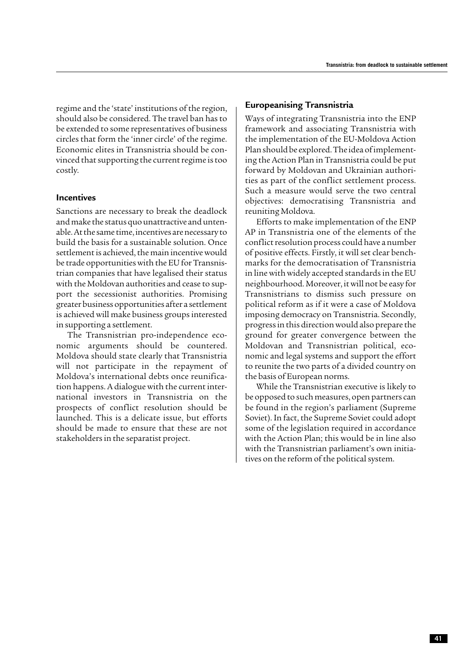regime and the 'state' institutions of the region, should also be considered. The travel ban has to be extended to some representatives of business circles that form the 'inner circle' of the regime. Economic elites in Transnistria should be convinced that supporting the current regime is too costly.

#### **Incentives**

Sanctions are necessary to break the deadlock and make the status quo unattractive and untenable. At the same time, incentives are necessary to build the basis for a sustainable solution. Once settlement is achieved, the main incentive would be trade opportunities with the EU for Transnistrian companies that have legalised their status with the Moldovan authorities and cease to support the secessionist authorities. Promising greater business opportunities after a settlement is achieved will make business groups interested in supporting a settlement.

The Transnistrian pro-independence economic arguments should be countered. Moldova should state clearly that Transnistria will not participate in the repayment of Moldova's international debts once reunification happens. A dialogue with the current international investors in Transnistria on the prospects of conflict resolution should be launched. This is a delicate issue, but efforts should be made to ensure that these are not stakeholders in the separatist project.

#### **Europeanising Transnistria**

Ways of integrating Transnistria into the ENP framework and associating Transnistria with the implementation of the EU-Moldova Action Plan should be explored. The idea of implementing the Action Plan in Transnistria could be put forward by Moldovan and Ukrainian authorities as part of the conflict settlement process. Such a measure would serve the two central objectives: democratising Transnistria and reuniting Moldova.

Efforts to make implementation of the ENP AP in Transnistria one of the elements of the conflict resolution process could have a number of positive effects. Firstly, it will set clear benchmarks for the democratisation of Transnistria in line with widely accepted standards in the EU neighbourhood. Moreover, it will not be easy for Transnistrians to dismiss such pressure on political reform as if it were a case of Moldova imposing democracy on Transnistria. Secondly, progress in this direction would also prepare the ground for greater convergence between the Moldovan and Transnistrian political, economic and legal systems and support the effort to reunite the two parts of a divided country on the basis of European norms.

While the Transnistrian executive is likely to be opposed to such measures, open partners can be found in the region's parliament (Supreme Soviet). In fact, the Supreme Soviet could adopt some of the legislation required in accordance with the Action Plan; this would be in line also with the Transnistrian parliament's own initiatives on the reform of the political system.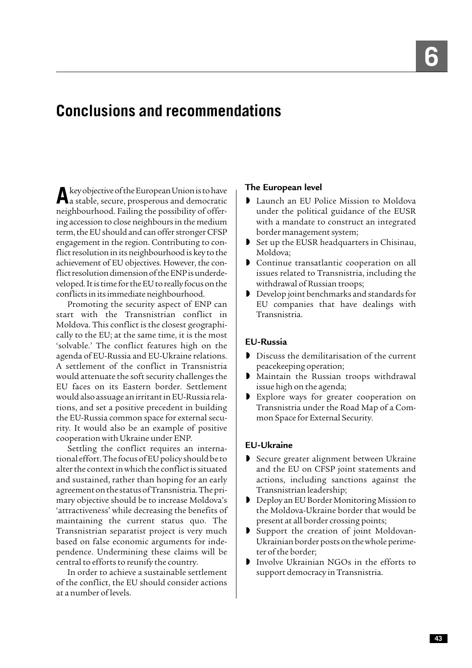### <span id="page-44-0"></span>**Conclusions and recommendations**

A key objective of the European Union is to have a stable, secure, prosperous and democratic neighbourhood. Failing the possibility of offering accession to close neighbours in the medium term, the EU should and can offer stronger CFSP engagement in the region. Contributing to conflict resolution in its neighbourhood is key to the achievement of EU objectives. However, the conflict resolution dimension of the ENP is underdeveloped. It is time for the EU to really focus on the conflicts in its immediate neighbourhood.

Promoting the security aspect of ENP can start with the Transnistrian conflict in Moldova. This conflict is the closest geographically to the EU; at the same time, it is the most 'solvable.' The conflict features high on the agenda of EU-Russia and EU-Ukraine relations. A settlement of the conflict in Transnistria would attenuate the soft security challenges the EU faces on its Eastern border. Settlement would also assuage an irritant in EU-Russia relations, and set a positive precedent in building the EU-Russia common space for external security. It would also be an example of positive cooperation with Ukraine under ENP.

Settling the conflict requires an international effort. The focus of EU policy should be to alter the context in which the conflict is situated and sustained, rather than hoping for an early agreement on the status of Transnistria. The primary objective should be to increase Moldova's 'attractiveness' while decreasing the benefits of maintaining the current status quo. The Transnistrian separatist project is very much based on false economic arguments for independence. Undermining these claims will be central to efforts to reunify the country.

In order to achieve a sustainable settlement of the conflict, the EU should consider actions at a number of levels.

#### **The European level**

- **D** Launch an EU Police Mission to Moldova under the political guidance of the EUSR with a mandate to construct an integrated border management system;
- Set up the EUSR headquarters in Chisinau, Moldova;
- **D** Continue transatlantic cooperation on all issues related to Transnistria, including the withdrawal of Russian troops;
- $\triangleright$  Develop joint benchmarks and standards for EU companies that have dealings with Transnistria.

#### **EU-Russia**

- $\triangleright$  Discuss the demilitarisation of the current peacekeeping operation;
- Maintain the Russian troops withdrawal issue high on the agenda;
- **D** Explore ways for greater cooperation on Transnistria under the Road Map of a Common Space for External Security.

#### **EU-Ukraine**

- Secure greater alignment between Ukraine and the EU on CFSP joint statements and actions, including sanctions against the Transnistrian leadership;
- Deploy an EU Border Monitoring Mission to the Moldova-Ukraine border that would be present at all border crossing points;
- Support the creation of joint Moldovan-Ukrainian border posts on the whole perimeter of the border;
- Involve Ukrainian NGOs in the efforts to support democracy in Transnistria.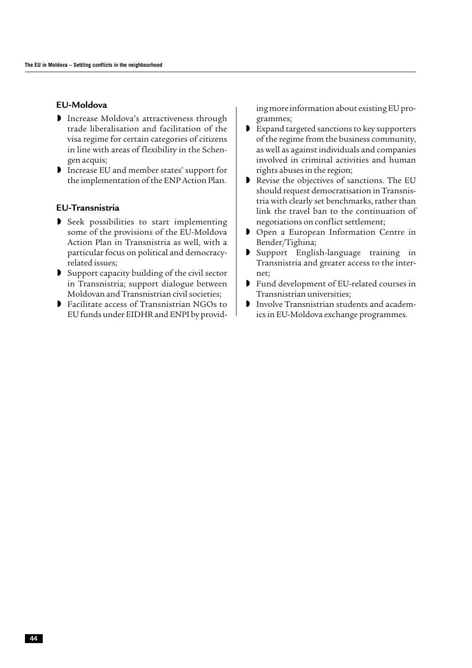#### **EU-Moldova**

- **Increase Moldova's attractiveness through** trade liberalisation and facilitation of the visa regime for certain categories of citizens in line with areas of flexibility in the Schengen acquis;
- Increase EU and member states' support for the implementation of the ENP Action Plan.

#### **EU-Transnistria**

- $\triangleright$  Seek possibilities to start implementing some of the provisions of the EU-Moldova Action Plan in Transnistria as well, with a particular focus on political and democracyrelated issues;
- $\triangleright$  Support capacity building of the civil sector in Transnistria; support dialogue between Moldovan and Transnistrian civil societies;
- **Facilitate access of Transnistrian NGOs to** EU funds under EIDHR and ENPI by provid-

ing more information about existing EU programmes;

- $\blacktriangleright$  Expand targeted sanctions to key supporters of the regime from the business community, as well as against individuals and companies involved in criminal activities and human rights abuses in the region;
- Revise the objectives of sanctions. The EU should request democratisation in Transnistria with clearly set benchmarks, rather than link the travel ban to the continuation of negotiations on conflict settlement;
- **D** Open a European Information Centre in Bender/Tighina;
- Support English-language training in Transnistria and greater access to the internet;
- Fund development of EU-related courses in Transnistrian universities;
- **D** Involve Transnistrian students and academics in EU-Moldova exchange programmes.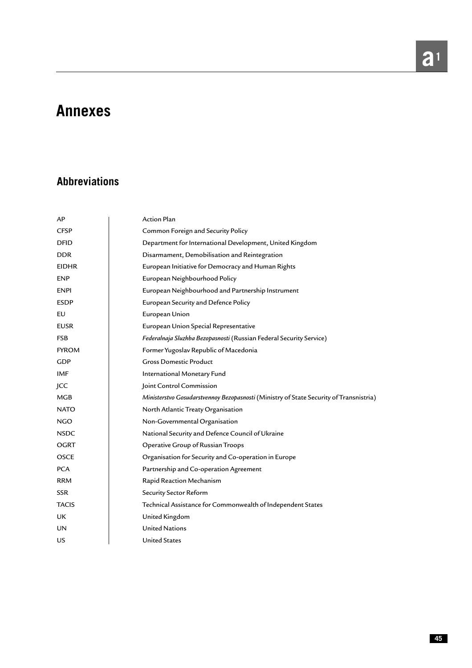## <span id="page-46-0"></span>**Annexes**

### **Abbreviations**

| АP           | <b>Action Plan</b>                                                                     |
|--------------|----------------------------------------------------------------------------------------|
| <b>CFSP</b>  | Common Foreign and Security Policy                                                     |
| <b>DFID</b>  | Department for International Development, United Kingdom                               |
| <b>DDR</b>   | Disarmament, Demobilisation and Reintegration                                          |
| <b>EIDHR</b> | European Initiative for Democracy and Human Rights                                     |
| <b>ENP</b>   | European Neighbourhood Policy                                                          |
| <b>ENPI</b>  | European Neighbourhood and Partnership Instrument                                      |
| <b>ESDP</b>  | European Security and Defence Policy                                                   |
| EU           | European Union                                                                         |
| <b>EUSR</b>  | European Union Special Representative                                                  |
| <b>FSB</b>   | Federalnaja Sluzhba Bezopasnosti (Russian Federal Security Service)                    |
| <b>FYROM</b> | Former Yugoslav Republic of Macedonia                                                  |
| GDP          | <b>Gross Domestic Product</b>                                                          |
| IMF          | International Monetary Fund                                                            |
| JCC          | Joint Control Commission                                                               |
| MGB          | Ministerstvo Gosudarstvennoy Bezopasnosti (Ministry of State Security of Transnistria) |
| <b>NATO</b>  | North Atlantic Treaty Organisation                                                     |
| NGO          | Non-Governmental Organisation                                                          |
| <b>NSDC</b>  | National Security and Defence Council of Ukraine                                       |
| OGRT         | Operative Group of Russian Troops                                                      |
| OSCE         | Organisation for Security and Co-operation in Europe                                   |
| <b>PCA</b>   | Partnership and Co-operation Agreement                                                 |
| <b>RRM</b>   | Rapid Reaction Mechanism                                                               |
| <b>SSR</b>   | Security Sector Reform                                                                 |
| <b>TACIS</b> | Technical Assistance for Commonwealth of Independent States                            |
| UK.          | United Kingdom                                                                         |
| UN           | <b>United Nations</b>                                                                  |
| US           | <b>United States</b>                                                                   |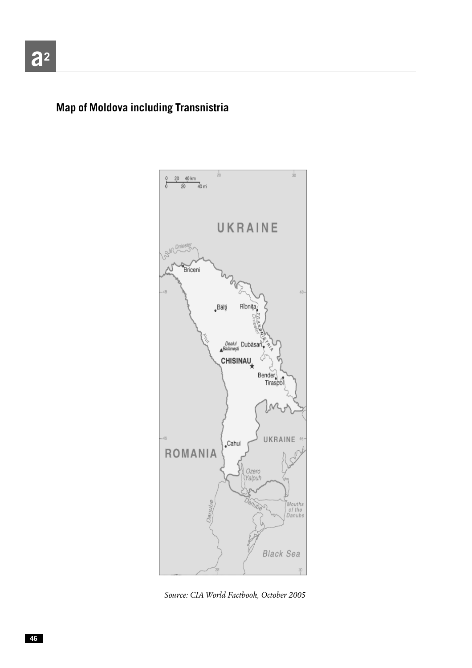### <span id="page-47-0"></span>**Map of Moldova including Transnistria**



*Source: CIA World Factbook, October 2005*